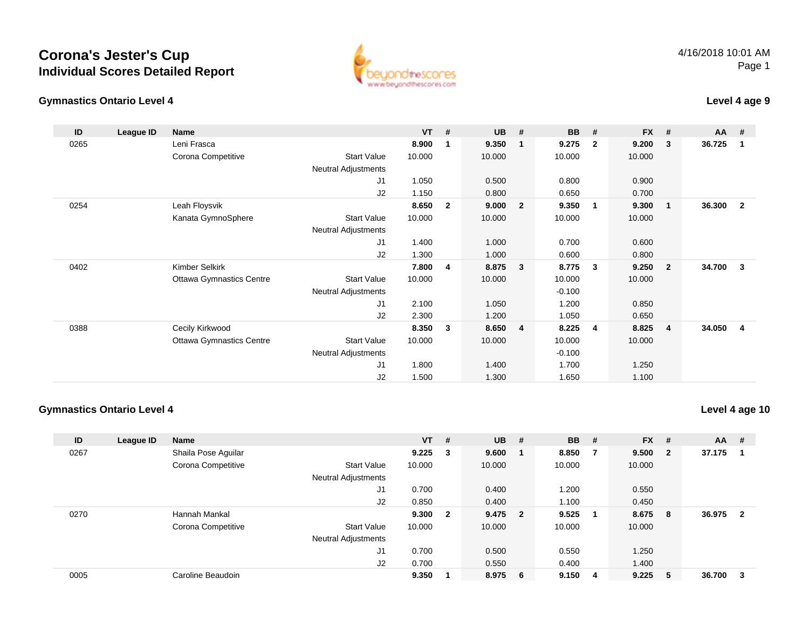



### **Level 4 age 9**

| ID   | League ID | Name                            |                            | $VT$ # |              | <b>UB</b> | #              | <b>BB</b> | #              | <b>FX</b> | #                       | <b>AA</b> | #              |
|------|-----------|---------------------------------|----------------------------|--------|--------------|-----------|----------------|-----------|----------------|-----------|-------------------------|-----------|----------------|
| 0265 |           | Leni Frasca                     |                            | 8.900  | 1            | 9.350     |                | 9.275     | $\overline{2}$ | 9.200     | 3                       | 36.725    | -1             |
|      |           | Corona Competitive              | <b>Start Value</b>         | 10.000 |              | 10.000    |                | 10.000    |                | 10.000    |                         |           |                |
|      |           |                                 | <b>Neutral Adjustments</b> |        |              |           |                |           |                |           |                         |           |                |
|      |           |                                 | J <sub>1</sub>             | 1.050  |              | 0.500     |                | 0.800     |                | 0.900     |                         |           |                |
|      |           |                                 | J2                         | 1.150  |              | 0.800     |                | 0.650     |                | 0.700     |                         |           |                |
| 0254 |           | Leah Floysvik                   |                            | 8.650  | $\mathbf{2}$ | 9.000     | $\overline{2}$ | 9.350     | $\overline{1}$ | 9.300     | $\overline{\mathbf{1}}$ | 36.300    | $\overline{2}$ |
|      |           | Kanata GymnoSphere              | <b>Start Value</b>         | 10.000 |              | 10.000    |                | 10.000    |                | 10.000    |                         |           |                |
|      |           |                                 | Neutral Adjustments        |        |              |           |                |           |                |           |                         |           |                |
|      |           |                                 | J1                         | 1.400  |              | 1.000     |                | 0.700     |                | 0.600     |                         |           |                |
|      |           |                                 | J2                         | 1.300  |              | 1.000     |                | 0.600     |                | 0.800     |                         |           |                |
| 0402 |           | Kimber Selkirk                  |                            | 7.800  | 4            | 8.875     | 3              | 8.775     | 3              | 9.250     | $\overline{\mathbf{2}}$ | 34.700    | 3              |
|      |           | <b>Ottawa Gymnastics Centre</b> | <b>Start Value</b>         | 10.000 |              | 10.000    |                | 10.000    |                | 10.000    |                         |           |                |
|      |           |                                 | <b>Neutral Adjustments</b> |        |              |           |                | $-0.100$  |                |           |                         |           |                |
|      |           |                                 | J <sub>1</sub>             | 2.100  |              | 1.050     |                | 1.200     |                | 0.850     |                         |           |                |
|      |           |                                 | J2                         | 2.300  |              | 1.200     |                | 1.050     |                | 0.650     |                         |           |                |
| 0388 |           | Cecily Kirkwood                 |                            | 8.350  | 3            | 8.650     | 4              | 8.225     | 4              | 8.825     | $\overline{4}$          | 34.050    | 4              |
|      |           | <b>Ottawa Gymnastics Centre</b> | <b>Start Value</b>         | 10.000 |              | 10.000    |                | 10.000    |                | 10.000    |                         |           |                |
|      |           |                                 | <b>Neutral Adjustments</b> |        |              |           |                | $-0.100$  |                |           |                         |           |                |
|      |           |                                 | J1                         | 1.800  |              | 1.400     |                | 1.700     |                | 1.250     |                         |           |                |
|      |           |                                 | J <sub>2</sub>             | 1.500  |              | 1.300     |                | 1.650     |                | 1.100     |                         |           |                |

#### **Gymnastics Ontario Level 4**

**Level 4 age 10**

| ID   | League ID | <b>Name</b>         |                            | $VT$ # |                | <b>UB</b> | #                       | <b>BB</b> | #  | $FX$ # |                         | $AA$ # |                |
|------|-----------|---------------------|----------------------------|--------|----------------|-----------|-------------------------|-----------|----|--------|-------------------------|--------|----------------|
| 0267 |           | Shaila Pose Aguilar |                            | 9.225  | 3              | 9.600     |                         | 8.850     |    | 9.500  | $\overline{\mathbf{2}}$ | 37.175 |                |
|      |           | Corona Competitive  | <b>Start Value</b>         | 10.000 |                | 10.000    |                         | 10.000    |    | 10.000 |                         |        |                |
|      |           |                     | <b>Neutral Adjustments</b> |        |                |           |                         |           |    |        |                         |        |                |
|      |           |                     | J1                         | 0.700  |                | 0.400     |                         | 1.200     |    | 0.550  |                         |        |                |
|      |           |                     | J2                         | 0.850  |                | 0.400     |                         | 1.100     |    | 0.450  |                         |        |                |
| 0270 |           | Hannah Mankal       |                            | 9.300  | $\overline{2}$ | 9.475     | $\overline{\mathbf{2}}$ | 9.525     |    | 8.675  | - 8                     | 36.975 | $\overline{2}$ |
|      |           | Corona Competitive  | <b>Start Value</b>         | 10.000 |                | 10.000    |                         | 10.000    |    | 10.000 |                         |        |                |
|      |           |                     | <b>Neutral Adjustments</b> |        |                |           |                         |           |    |        |                         |        |                |
|      |           |                     | J1                         | 0.700  |                | 0.500     |                         | 0.550     |    | 1.250  |                         |        |                |
|      |           |                     | J2                         | 0.700  |                | 0.550     |                         | 0.400     |    | 1.400  |                         |        |                |
| 0005 |           | Caroline Beaudoin   |                            | 9.350  |                | 8.975     | - 6                     | 9.150     | -4 | 9.225  | - 5                     | 36.700 | - 3            |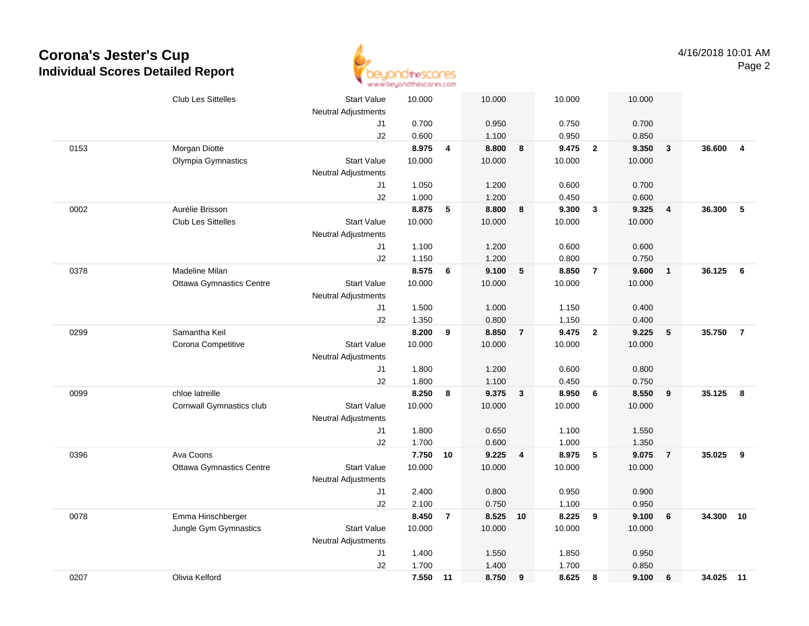

|      | <b>Club Les Sittelles</b>       | <b>Start Value</b>         | 10.000         |                | 10.000         |                | 10.000         |                | 10.000         |                 |           |                |
|------|---------------------------------|----------------------------|----------------|----------------|----------------|----------------|----------------|----------------|----------------|-----------------|-----------|----------------|
|      |                                 | <b>Neutral Adjustments</b> |                |                |                |                |                |                |                |                 |           |                |
|      |                                 | J1                         | 0.700          |                | 0.950          |                | 0.750          |                | 0.700          |                 |           |                |
|      |                                 | J2                         | 0.600          |                | 1.100          |                | 0.950          |                | 0.850          |                 |           |                |
| 0153 | Morgan Diotte                   |                            | 8.975          | 4              | 8.800          | 8              | 9.475          | $\overline{2}$ | 9.350          | $\mathbf{3}$    | 36.600    | $\overline{4}$ |
|      | Olympia Gymnastics              | <b>Start Value</b>         | 10.000         |                | 10.000         |                | 10.000         |                | 10.000         |                 |           |                |
|      |                                 | <b>Neutral Adjustments</b> |                |                |                |                |                |                |                |                 |           |                |
|      |                                 | J1                         | 1.050          |                | 1.200          |                | 0.600          |                | 0.700          |                 |           |                |
|      |                                 | J2                         | 1.000          |                | 1.200          |                | 0.450          |                | 0.600          |                 |           |                |
| 0002 | Aurélie Brisson                 |                            | 8.875          | 5              | 8.800          | 8              | 9.300          | $\mathbf{3}$   | 9.325          | 4               | 36.300    | 5              |
|      | <b>Club Les Sittelles</b>       | <b>Start Value</b>         | 10.000         |                | 10.000         |                | 10.000         |                | 10.000         |                 |           |                |
|      |                                 | <b>Neutral Adjustments</b> |                |                |                |                |                |                |                |                 |           |                |
|      |                                 | J1                         | 1.100          |                | 1.200          |                | 0.600          |                | 0.600          |                 |           |                |
|      |                                 | J2                         | 1.150          |                | 1.200          |                | 0.800          |                | 0.750          |                 |           |                |
| 0378 | Madeline Milan                  |                            | 8.575          | 6              | 9.100          | $\sqrt{5}$     | 8.850          | $\overline{7}$ | 9.600          | $\overline{1}$  | 36.125    | 6              |
|      | <b>Ottawa Gymnastics Centre</b> | <b>Start Value</b>         | 10.000         |                | 10.000         |                | 10.000         |                | 10.000         |                 |           |                |
|      |                                 | <b>Neutral Adjustments</b> |                |                |                |                |                |                |                |                 |           |                |
|      |                                 | J1                         | 1.500          |                | 1.000          |                | 1.150          |                | 0.400          |                 |           |                |
|      |                                 | J2                         | 1.350          |                | 0.800          |                | 1.150          |                | 0.400          |                 |           |                |
| 0299 | Samantha Keil                   |                            | 8.200          | 9              | 8.850          | $\overline{7}$ | 9.475          | $\overline{2}$ | 9.225          | $5\phantom{.0}$ | 35.750    | $\overline{7}$ |
|      | Corona Competitive              | <b>Start Value</b>         | 10.000         |                | 10.000         |                | 10.000         |                | 10.000         |                 |           |                |
|      |                                 | <b>Neutral Adjustments</b> |                |                |                |                |                |                |                |                 |           |                |
|      |                                 | J1                         | 1.800          |                | 1.200          |                | 0.600          |                | 0.800          |                 |           |                |
|      |                                 | J2                         | 1.800          |                | 1.100          |                | 0.450          |                | 0.750          |                 |           |                |
| 0099 | chloe latreille                 |                            | 8.250          | 8              | 9.375          | $\mathbf{3}$   | 8.950          | 6              | 8.550          | 9               | 35.125    | -8             |
|      | Cornwall Gymnastics club        | <b>Start Value</b>         | 10.000         |                | 10.000         |                | 10.000         |                | 10.000         |                 |           |                |
|      |                                 | <b>Neutral Adjustments</b> |                |                |                |                |                |                |                |                 |           |                |
|      |                                 | J1                         | 1.800          |                | 0.650          |                | 1.100          |                | 1.550          |                 |           |                |
|      |                                 | J2                         | 1.700          |                | 0.600          |                | 1.000          |                | 1.350          |                 |           |                |
| 0396 | Ava Coons                       |                            | 7.750 10       |                | 9.225          | 4              | 8.975          | $\sqrt{5}$     | 9.075          | $\overline{7}$  | 35.025    | 9              |
|      | <b>Ottawa Gymnastics Centre</b> | <b>Start Value</b>         | 10.000         |                | 10.000         |                | 10.000         |                | 10.000         |                 |           |                |
|      |                                 | <b>Neutral Adjustments</b> |                |                |                |                |                |                |                |                 |           |                |
|      |                                 | J1                         | 2.400          |                | 0.800          |                | 0.950          |                | 0.900          |                 |           |                |
|      | Emma Hinschberger               | J2                         | 2.100<br>8.450 |                | 0.750<br>8.525 |                | 1.100<br>8.225 |                | 0.950<br>9.100 | $6\phantom{1}6$ | 34.300    | 10             |
| 0078 |                                 |                            |                | $\overline{7}$ |                | 10             |                | 9              |                |                 |           |                |
|      | Jungle Gym Gymnastics           | <b>Start Value</b>         | 10.000         |                | 10.000         |                | 10.000         |                | 10.000         |                 |           |                |
|      |                                 | <b>Neutral Adjustments</b> |                |                |                |                |                |                |                |                 |           |                |
|      |                                 | J1<br>J2                   | 1.400<br>1.700 |                | 1.550<br>1.400 |                | 1.850<br>1.700 |                | 0.950<br>0.850 |                 |           |                |
| 0207 | Olivia Kelford                  |                            | 7.550 11       |                | 8.750          |                | 8.625          | 8              | 9.100          | $6\phantom{1}6$ | 34.025 11 |                |
|      |                                 |                            |                |                |                | 9              |                |                |                |                 |           |                |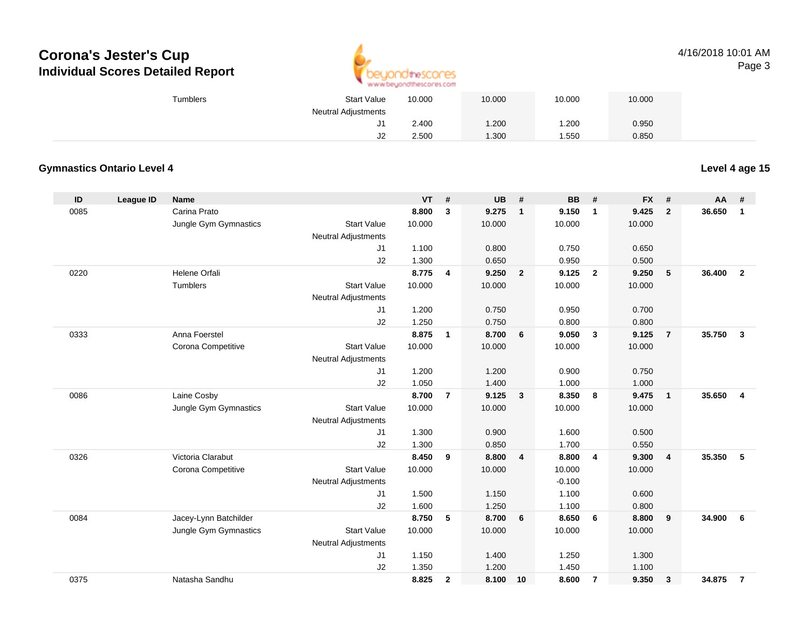

#### 4/16/2018 10:01 AMPage 3

| <b>Start Value</b><br><b>Tumblers</b> |     | 10.000 | 10.000 | 10.000 | 10.000 |  |
|---------------------------------------|-----|--------|--------|--------|--------|--|
| <b>Neutral Adjustments</b>            |     |        |        |        |        |  |
|                                       | ا ب | 2.400  | 1.200  | .200   | 0.950  |  |
|                                       | J2  | 2.500  | 1.300  | .550   | 0.850  |  |

### **Gymnastics Ontario Level 4**

**Level 4 age 15**

| ID   | <b>League ID</b> | <b>Name</b>           |                            | <b>VT</b> | #              | UB     | #                       | <b>BB</b> | #              | <b>FX</b> | #              | AA     | #                       |
|------|------------------|-----------------------|----------------------------|-----------|----------------|--------|-------------------------|-----------|----------------|-----------|----------------|--------|-------------------------|
| 0085 |                  | Carina Prato          |                            | 8.800     | 3              | 9.275  | $\mathbf{1}$            | 9.150     | $\mathbf{1}$   | 9.425     | $\overline{2}$ | 36.650 | $\mathbf{1}$            |
|      |                  | Jungle Gym Gymnastics | <b>Start Value</b>         | 10.000    |                | 10.000 |                         | 10.000    |                | 10.000    |                |        |                         |
|      |                  |                       | Neutral Adjustments        |           |                |        |                         |           |                |           |                |        |                         |
|      |                  |                       | J1                         | 1.100     |                | 0.800  |                         | 0.750     |                | 0.650     |                |        |                         |
|      |                  |                       | J2                         | 1.300     |                | 0.650  |                         | 0.950     |                | 0.500     |                |        |                         |
| 0220 |                  | Helene Orfali         |                            | 8.775     | 4              | 9.250  | $\overline{\mathbf{2}}$ | 9.125     | $\overline{2}$ | 9.250     | 5              | 36,400 | $\overline{2}$          |
|      |                  | Tumblers              | <b>Start Value</b>         | 10.000    |                | 10.000 |                         | 10.000    |                | 10.000    |                |        |                         |
|      |                  |                       | <b>Neutral Adjustments</b> |           |                |        |                         |           |                |           |                |        |                         |
|      |                  |                       | J1                         | 1.200     |                | 0.750  |                         | 0.950     |                | 0.700     |                |        |                         |
|      |                  |                       | J2                         | 1.250     |                | 0.750  |                         | 0.800     |                | 0.800     |                |        |                         |
| 0333 |                  | Anna Foerstel         |                            | 8.875     | $\mathbf{1}$   | 8.700  | $6\phantom{1}$          | 9.050     | $\mathbf{3}$   | 9.125     | $\overline{7}$ | 35.750 | $\mathbf{3}$            |
|      |                  | Corona Competitive    | <b>Start Value</b>         | 10.000    |                | 10.000 |                         | 10.000    |                | 10.000    |                |        |                         |
|      |                  |                       | <b>Neutral Adjustments</b> |           |                |        |                         |           |                |           |                |        |                         |
|      |                  |                       | J1                         | 1.200     |                | 1.200  |                         | 0.900     |                | 0.750     |                |        |                         |
|      |                  |                       | J2                         | 1.050     |                | 1.400  |                         | 1.000     |                | 1.000     |                |        |                         |
| 0086 |                  | Laine Cosby           |                            | 8.700     | $\overline{7}$ | 9.125  | $\mathbf{3}$            | 8.350     | 8              | 9.475     | $\overline{1}$ | 35.650 | $\overline{\mathbf{4}}$ |
|      |                  | Jungle Gym Gymnastics | <b>Start Value</b>         | 10.000    |                | 10.000 |                         | 10.000    |                | 10.000    |                |        |                         |
|      |                  |                       | Neutral Adjustments        |           |                |        |                         |           |                |           |                |        |                         |
|      |                  |                       | J1                         | 1.300     |                | 0.900  |                         | 1.600     |                | 0.500     |                |        |                         |
|      |                  |                       | J2                         | 1.300     |                | 0.850  |                         | 1.700     |                | 0.550     |                |        |                         |
| 0326 |                  | Victoria Clarabut     |                            | 8.450     | 9              | 8.800  | $\overline{\mathbf{4}}$ | 8.800     | $\overline{4}$ | 9.300     | $\overline{4}$ | 35.350 | 5                       |
|      |                  | Corona Competitive    | <b>Start Value</b>         | 10.000    |                | 10.000 |                         | 10.000    |                | 10.000    |                |        |                         |
|      |                  |                       | <b>Neutral Adjustments</b> |           |                |        |                         | $-0.100$  |                |           |                |        |                         |
|      |                  |                       | J1                         | 1.500     |                | 1.150  |                         | 1.100     |                | 0.600     |                |        |                         |
|      |                  |                       | J2                         | 1.600     |                | 1.250  |                         | 1.100     |                | 0.800     |                |        |                         |
| 0084 |                  | Jacey-Lynn Batchilder |                            | 8.750     | 5              | 8.700  | 6                       | 8.650     | 6              | 8.800     | 9              | 34.900 | 6                       |
|      |                  | Jungle Gym Gymnastics | <b>Start Value</b>         | 10.000    |                | 10.000 |                         | 10.000    |                | 10.000    |                |        |                         |
|      |                  |                       | <b>Neutral Adjustments</b> |           |                |        |                         |           |                |           |                |        |                         |
|      |                  |                       | J1                         | 1.150     |                | 1.400  |                         | 1.250     |                | 1.300     |                |        |                         |
|      |                  |                       | J2                         | 1.350     |                | 1.200  |                         | 1.450     |                | 1.100     |                |        |                         |
| 0375 |                  | Natasha Sandhu        |                            | 8.825     | $\mathbf{2}$   | 8.100  | 10                      | 8.600     | $\overline{7}$ | 9.350     | 3              | 34.875 | $\overline{7}$          |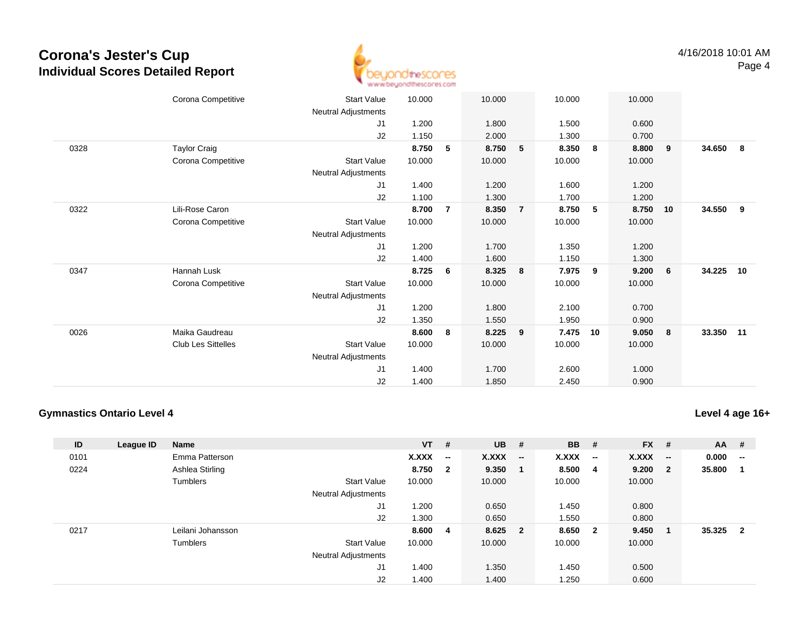

|      | Corona Competitive        | <b>Start Value</b>         | 10.000 |                | 10.000 |                | 10.000 |             | 10.000 |                 |           |    |
|------|---------------------------|----------------------------|--------|----------------|--------|----------------|--------|-------------|--------|-----------------|-----------|----|
|      |                           | Neutral Adjustments        |        |                |        |                |        |             |        |                 |           |    |
|      |                           | J1                         | 1.200  |                | 1.800  |                | 1.500  |             | 0.600  |                 |           |    |
|      |                           | J2                         | 1.150  |                | 2.000  |                | 1.300  |             | 0.700  |                 |           |    |
| 0328 | <b>Taylor Craig</b>       |                            | 8.750  | 5              | 8.750  | 5              | 8.350  | 8           | 8.800  | 9               | 34.650    | 8  |
|      | Corona Competitive        | <b>Start Value</b>         | 10.000 |                | 10.000 |                | 10.000 |             | 10.000 |                 |           |    |
|      |                           | Neutral Adjustments        |        |                |        |                |        |             |        |                 |           |    |
|      |                           | J1                         | 1.400  |                | 1.200  |                | 1.600  |             | 1.200  |                 |           |    |
|      |                           | J2                         | 1.100  |                | 1.300  |                | 1.700  |             | 1.200  |                 |           |    |
| 0322 | Lili-Rose Caron           |                            | 8.700  | $\overline{7}$ | 8.350  | $\overline{7}$ | 8.750  | $5^{\circ}$ | 8.750  | 10              | 34.550    | 9  |
|      | Corona Competitive        | <b>Start Value</b>         | 10.000 |                | 10.000 |                | 10.000 |             | 10.000 |                 |           |    |
|      |                           | <b>Neutral Adjustments</b> |        |                |        |                |        |             |        |                 |           |    |
|      |                           | J1                         | 1.200  |                | 1.700  |                | 1.350  |             | 1.200  |                 |           |    |
|      |                           | J2                         | 1.400  |                | 1.600  |                | 1.150  |             | 1.300  |                 |           |    |
| 0347 | Hannah Lusk               |                            | 8.725  | 6              | 8.325  | 8              | 7.975  | 9           | 9.200  | $6\overline{6}$ | 34.225    | 10 |
|      | Corona Competitive        | <b>Start Value</b>         | 10.000 |                | 10.000 |                | 10.000 |             | 10.000 |                 |           |    |
|      |                           | Neutral Adjustments        |        |                |        |                |        |             |        |                 |           |    |
|      |                           | J1                         | 1.200  |                | 1.800  |                | 2.100  |             | 0.700  |                 |           |    |
|      |                           | J2                         | 1.350  |                | 1.550  |                | 1.950  |             | 0.900  |                 |           |    |
| 0026 | Maika Gaudreau            |                            | 8.600  | 8              | 8.225  | 9              | 7.475  | 10          | 9.050  | 8               | 33.350 11 |    |
|      | <b>Club Les Sittelles</b> | <b>Start Value</b>         | 10.000 |                | 10.000 |                | 10.000 |             | 10.000 |                 |           |    |
|      |                           | Neutral Adjustments        |        |                |        |                |        |             |        |                 |           |    |
|      |                           | J1                         | 1.400  |                | 1.700  |                | 2.600  |             | 1.000  |                 |           |    |
|      |                           | J2                         | 1.400  |                | 1.850  |                | 2.450  |             | 0.900  |                 |           |    |
|      |                           |                            |        |                |        |                |        |             |        |                 |           |    |

#### **Gymnastics Ontario Level 4**

**Level 4 age 16+**

| ID   | League ID | Name              |                            | $VT$ # |                          | <b>UB</b> | #                        | <b>BB</b> | #                        | <b>FX</b> | #                        | <b>AA</b> | #                       |
|------|-----------|-------------------|----------------------------|--------|--------------------------|-----------|--------------------------|-----------|--------------------------|-----------|--------------------------|-----------|-------------------------|
| 0101 |           | Emma Patterson    |                            | X.XXX  | $\overline{\phantom{a}}$ | X.XXX     | $\overline{\phantom{a}}$ | X.XXX     | $\overline{\phantom{a}}$ | X.XXX     | $\overline{\phantom{a}}$ | 0.000     | $\mathbf{u}$            |
| 0224 |           | Ashlea Stirling   |                            | 8.750  | $\overline{\mathbf{2}}$  | 9.350     |                          | 8.500     | -4                       | 9.200     | $\overline{\mathbf{2}}$  | 35.800    |                         |
|      |           | Tumblers          | <b>Start Value</b>         | 10.000 |                          | 10.000    |                          | 10.000    |                          | 10.000    |                          |           |                         |
|      |           |                   | <b>Neutral Adjustments</b> |        |                          |           |                          |           |                          |           |                          |           |                         |
|      |           |                   | J1                         | .200   |                          | 0.650     |                          | 1.450     |                          | 0.800     |                          |           |                         |
|      |           |                   | J2                         | 1.300  |                          | 0.650     |                          | 1.550     |                          | 0.800     |                          |           |                         |
| 0217 |           | Leilani Johansson |                            | 8.600  | - 4                      | 8.625     | $\overline{\mathbf{2}}$  | 8.650     | $\overline{\mathbf{2}}$  | 9.450     | -1                       | 35.325    | $\overline{\mathbf{2}}$ |
|      |           | Tumblers          | <b>Start Value</b>         | 10.000 |                          | 10.000    |                          | 10.000    |                          | 10.000    |                          |           |                         |
|      |           |                   | <b>Neutral Adjustments</b> |        |                          |           |                          |           |                          |           |                          |           |                         |
|      |           |                   | J <sub>1</sub>             | 1.400  |                          | 1.350     |                          | 1.450     |                          | 0.500     |                          |           |                         |
|      |           |                   | J <sub>2</sub>             | 1.400  |                          | 1.400     |                          | 1.250     |                          | 0.600     |                          |           |                         |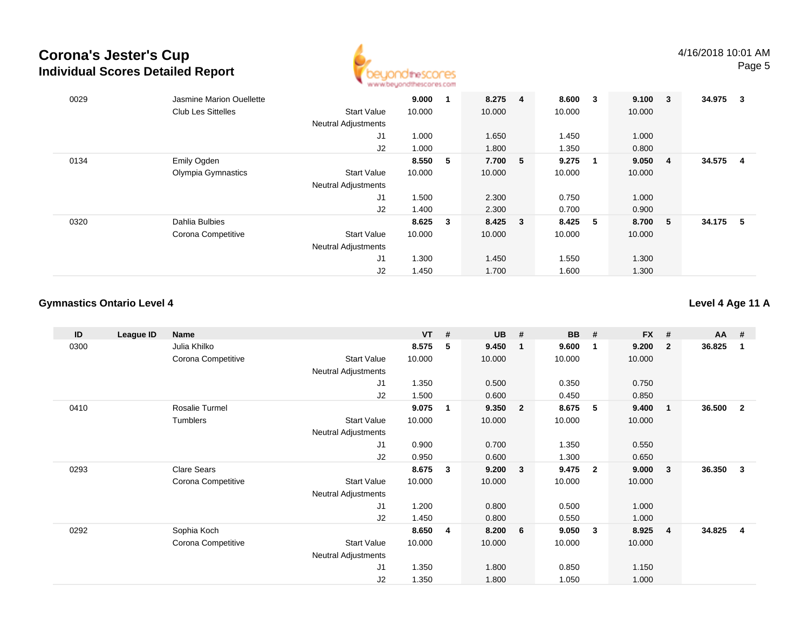

| 0029 | Jasmine Marion Ouellette  |                            | 9.000  |              | 8.275 4 | 8.600  | 3   | $9.100 \t 3$ |     | 34.975 | - 3 |
|------|---------------------------|----------------------------|--------|--------------|---------|--------|-----|--------------|-----|--------|-----|
|      | <b>Club Les Sittelles</b> | <b>Start Value</b>         | 10.000 |              | 10.000  | 10.000 |     | 10.000       |     |        |     |
|      |                           | <b>Neutral Adjustments</b> |        |              |         |        |     |              |     |        |     |
|      |                           | J <sub>1</sub>             | 1.000  |              | 1.650   | 1.450  |     | 1.000        |     |        |     |
|      |                           | J2                         | 1.000  |              | 1.800   | 1.350  |     | 0.800        |     |        |     |
| 0134 | Emily Ogden               |                            | 8.550  | -5           | 7.700 5 | 9.275  |     | 9.050        | -4  | 34.575 | -4  |
|      | Olympia Gymnastics        | <b>Start Value</b>         | 10.000 |              | 10.000  | 10.000 |     | 10.000       |     |        |     |
|      |                           | <b>Neutral Adjustments</b> |        |              |         |        |     |              |     |        |     |
|      |                           | J <sub>1</sub>             | 1.500  |              | 2.300   | 0.750  |     | 1.000        |     |        |     |
|      |                           | J2                         | 1.400  |              | 2.300   | 0.700  |     | 0.900        |     |        |     |
| 0320 | Dahlia Bulbies            |                            | 8.625  | $\mathbf{3}$ | 8.425 3 | 8.425  | - 5 | 8.700        | - 5 | 34.175 | -5  |
|      | Corona Competitive        | <b>Start Value</b>         | 10.000 |              | 10.000  | 10.000 |     | 10.000       |     |        |     |
|      |                           | <b>Neutral Adjustments</b> |        |              |         |        |     |              |     |        |     |
|      |                           | J1                         | 1.300  |              | 1.450   | 1.550  |     | 1.300        |     |        |     |
|      |                           | J2                         | 1.450  |              | 1.700   | 1.600  |     | 1.300        |     |        |     |

### **Gymnastics Ontario Level 4**

**Level 4 Age 11 A**

| ID   | League ID | <b>Name</b>        |                            | <b>VT</b> | # | <b>UB</b> | #            | <b>BB</b> | #                       | <b>FX</b> | #              | <b>AA</b> | #            |
|------|-----------|--------------------|----------------------------|-----------|---|-----------|--------------|-----------|-------------------------|-----------|----------------|-----------|--------------|
| 0300 |           | Julia Khilko       |                            | 8.575     | 5 | 9.450     | $\mathbf{1}$ | 9.600     | $\overline{\mathbf{1}}$ | 9.200     | $\overline{2}$ | 36.825    | -1           |
|      |           | Corona Competitive | <b>Start Value</b>         | 10.000    |   | 10.000    |              | 10.000    |                         | 10.000    |                |           |              |
|      |           |                    | <b>Neutral Adjustments</b> |           |   |           |              |           |                         |           |                |           |              |
|      |           |                    | J1                         | 1.350     |   | 0.500     |              | 0.350     |                         | 0.750     |                |           |              |
|      |           |                    | J2                         | 1.500     |   | 0.600     |              | 0.450     |                         | 0.850     |                |           |              |
| 0410 |           | Rosalie Turmel     |                            | 9.075     | 1 | 9.350     | $\mathbf{2}$ | 8.675     | -5                      | 9.400     | $\mathbf{1}$   | 36.500    | $\mathbf{2}$ |
|      |           | Tumblers           | <b>Start Value</b>         | 10.000    |   | 10.000    |              | 10.000    |                         | 10.000    |                |           |              |
|      |           |                    | <b>Neutral Adjustments</b> |           |   |           |              |           |                         |           |                |           |              |
|      |           |                    | J1                         | 0.900     |   | 0.700     |              | 1.350     |                         | 0.550     |                |           |              |
|      |           |                    | J2                         | 0.950     |   | 0.600     |              | 1.300     |                         | 0.650     |                |           |              |
| 0293 |           | <b>Clare Sears</b> |                            | 8.675     | 3 | 9.200     | $\mathbf{3}$ | 9.475     | $\overline{\mathbf{2}}$ | 9.000     | $\mathbf{3}$   | 36.350    | 3            |
|      |           | Corona Competitive | <b>Start Value</b>         | 10.000    |   | 10.000    |              | 10.000    |                         | 10.000    |                |           |              |
|      |           |                    | Neutral Adjustments        |           |   |           |              |           |                         |           |                |           |              |
|      |           |                    | J1                         | 1.200     |   | 0.800     |              | 0.500     |                         | 1.000     |                |           |              |
|      |           |                    | J2                         | 1.450     |   | 0.800     |              | 0.550     |                         | 1.000     |                |           |              |
| 0292 |           | Sophia Koch        |                            | 8.650     | 4 | 8.200     | 6            | 9.050     | $\mathbf{3}$            | 8.925     | $\overline{4}$ | 34.825    | 4            |
|      |           | Corona Competitive | <b>Start Value</b>         | 10.000    |   | 10.000    |              | 10.000    |                         | 10.000    |                |           |              |
|      |           |                    | Neutral Adjustments        |           |   |           |              |           |                         |           |                |           |              |
|      |           |                    | J1                         | 1.350     |   | 1.800     |              | 0.850     |                         | 1.150     |                |           |              |
|      |           |                    | J2                         | 1.350     |   | 1.800     |              | 1.050     |                         | 1.000     |                |           |              |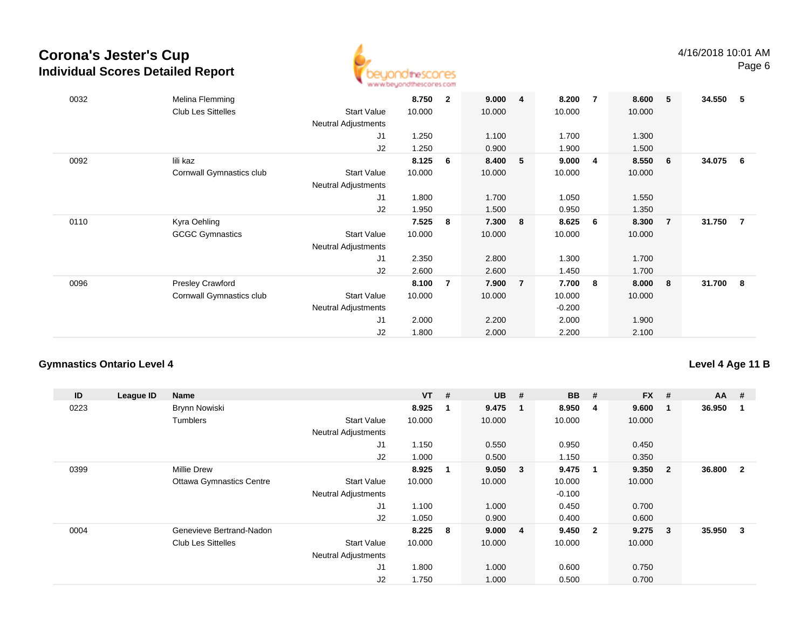

| 0032 | Melina Flemming<br><b>Club Les Sittelles</b> | <b>Start Value</b><br><b>Neutral Adjustments</b> | 8.750<br>10.000 | $\mathbf{2}$ | 9.000<br>10.000 | $\overline{4}$ | 8.200<br>10.000 | $\overline{7}$ | 8.600<br>10.000 | 5              | 34.550 | - 5            |
|------|----------------------------------------------|--------------------------------------------------|-----------------|--------------|-----------------|----------------|-----------------|----------------|-----------------|----------------|--------|----------------|
|      |                                              | J1                                               | 1.250           |              | 1.100           |                | 1.700           |                | 1.300           |                |        |                |
|      |                                              | J2                                               | 1.250           |              | 0.900           |                | 1.900           |                | 1.500           |                |        |                |
| 0092 | lili kaz                                     |                                                  | 8.125           | 6            | 8.400           | 5              | 9.000           | 4              | 8.550           | - 6            | 34.075 | - 6            |
|      | Cornwall Gymnastics club                     | <b>Start Value</b>                               | 10.000          |              | 10.000          |                | 10.000          |                | 10.000          |                |        |                |
|      |                                              | Neutral Adjustments                              |                 |              |                 |                |                 |                |                 |                |        |                |
|      |                                              | J1                                               | 1.800           |              | 1.700           |                | 1.050           |                | 1.550           |                |        |                |
|      |                                              | J2                                               | 1.950           |              | 1.500           |                | 0.950           |                | 1.350           |                |        |                |
| 0110 | Kyra Oehling                                 |                                                  | 7.525           | 8            | 7.300           | 8              | 8.625           | 6              | 8.300           | $\overline{7}$ | 31.750 | $\overline{7}$ |
|      | <b>GCGC Gymnastics</b>                       | <b>Start Value</b>                               | 10.000          |              | 10.000          |                | 10.000          |                | 10.000          |                |        |                |
|      |                                              | <b>Neutral Adjustments</b>                       |                 |              |                 |                |                 |                |                 |                |        |                |
|      |                                              | J1                                               | 2.350           |              | 2.800           |                | 1.300           |                | 1.700           |                |        |                |
|      |                                              | J2                                               | 2.600           |              | 2.600           |                | 1.450           |                | 1.700           |                |        |                |
| 0096 | <b>Presley Crawford</b>                      |                                                  | 8.100           | 7            | 7.900           | $\overline{7}$ | 7.700           | 8              | 8.000           | 8              | 31.700 | - 8            |
|      | Cornwall Gymnastics club                     | <b>Start Value</b>                               | 10.000          |              | 10.000          |                | 10.000          |                | 10.000          |                |        |                |
|      |                                              | <b>Neutral Adjustments</b>                       |                 |              |                 |                | $-0.200$        |                |                 |                |        |                |
|      |                                              | J1                                               | 2.000           |              | 2.200           |                | 2.000           |                | 1.900           |                |        |                |
|      |                                              | J2                                               | 1.800           |              | 2.000           |                | 2.200           |                | 2.100           |                |        |                |

### **Gymnastics Ontario Level 4**

### **Level 4 Age 11 B**

| ID   | League ID | <b>Name</b>                     |                            | <b>VT</b> | #   | <b>UB</b> | #                       | <b>BB</b> | #                       | <b>FX</b> | #              | $AA$ # |                |
|------|-----------|---------------------------------|----------------------------|-----------|-----|-----------|-------------------------|-----------|-------------------------|-----------|----------------|--------|----------------|
| 0223 |           | Brynn Nowiski                   |                            | 8.925     |     | 9.475     | - 1                     | 8.950     | 4                       | 9.600     | 1              | 36.950 |                |
|      |           | <b>Tumblers</b>                 | <b>Start Value</b>         | 10.000    |     | 10.000    |                         | 10.000    |                         | 10.000    |                |        |                |
|      |           |                                 | <b>Neutral Adjustments</b> |           |     |           |                         |           |                         |           |                |        |                |
|      |           |                                 | J1                         | 1.150     |     | 0.550     |                         | 0.950     |                         | 0.450     |                |        |                |
|      |           |                                 | J2                         | 1.000     |     | 0.500     |                         | 1.150     |                         | 0.350     |                |        |                |
| 0399 |           | <b>Millie Drew</b>              |                            | 8.925     |     | 9.050     | $\overline{\mathbf{3}}$ | 9.475     | -1                      | 9.350     | $\overline{2}$ | 36.800 | $\overline{2}$ |
|      |           | <b>Ottawa Gymnastics Centre</b> | <b>Start Value</b>         | 10.000    |     | 10.000    |                         | 10.000    |                         | 10.000    |                |        |                |
|      |           |                                 | <b>Neutral Adjustments</b> |           |     |           |                         | $-0.100$  |                         |           |                |        |                |
|      |           |                                 | J1                         | 1.100     |     | 1.000     |                         | 0.450     |                         | 0.700     |                |        |                |
|      |           |                                 | J2                         | 1.050     |     | 0.900     |                         | 0.400     |                         | 0.600     |                |        |                |
| 0004 |           | Genevieve Bertrand-Nadon        |                            | 8.225     | - 8 | 9.000     | $\overline{\mathbf{4}}$ | 9.450     | $\overline{\mathbf{2}}$ | 9.275     | 3              | 35.950 | 3              |
|      |           | <b>Club Les Sittelles</b>       | <b>Start Value</b>         | 10.000    |     | 10.000    |                         | 10.000    |                         | 10.000    |                |        |                |
|      |           |                                 | <b>Neutral Adjustments</b> |           |     |           |                         |           |                         |           |                |        |                |
|      |           |                                 | J1                         | 1.800     |     | 1.000     |                         | 0.600     |                         | 0.750     |                |        |                |
|      |           |                                 | J2                         | 1.750     |     | 1.000     |                         | 0.500     |                         | 0.700     |                |        |                |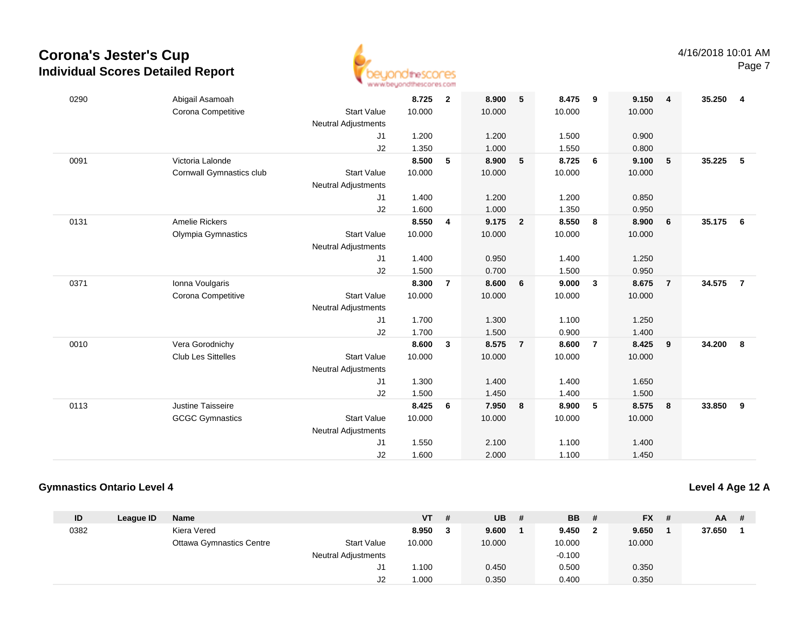

| 0290 | Abigail Asamoah           |                            | 8.725  | $\overline{2}$ | 8.900  | 5                       | 8.475  | - 9            | 9.150  | $\overline{\mathbf{4}}$ | 35.250 | -4             |
|------|---------------------------|----------------------------|--------|----------------|--------|-------------------------|--------|----------------|--------|-------------------------|--------|----------------|
|      | Corona Competitive        | <b>Start Value</b>         | 10.000 |                | 10.000 |                         | 10.000 |                | 10.000 |                         |        |                |
|      |                           | <b>Neutral Adjustments</b> |        |                |        |                         |        |                |        |                         |        |                |
|      |                           | J1                         | 1.200  |                | 1.200  |                         | 1.500  |                | 0.900  |                         |        |                |
|      |                           | J2                         | 1.350  |                | 1.000  |                         | 1.550  |                | 0.800  |                         |        |                |
| 0091 | Victoria Lalonde          |                            | 8.500  | 5              | 8.900  | 5                       | 8.725  | 6              | 9.100  | 5                       | 35.225 | 5              |
|      | Cornwall Gymnastics club  | <b>Start Value</b>         | 10.000 |                | 10.000 |                         | 10.000 |                | 10.000 |                         |        |                |
|      |                           | <b>Neutral Adjustments</b> |        |                |        |                         |        |                |        |                         |        |                |
|      |                           | J1                         | 1.400  |                | 1.200  |                         | 1.200  |                | 0.850  |                         |        |                |
|      |                           | J2                         | 1.600  |                | 1.000  |                         | 1.350  |                | 0.950  |                         |        |                |
| 0131 | <b>Amelie Rickers</b>     |                            | 8.550  | 4              | 9.175  | $\overline{\mathbf{2}}$ | 8.550  | 8              | 8.900  | 6                       | 35.175 | 6              |
|      | <b>Olympia Gymnastics</b> | <b>Start Value</b>         | 10.000 |                | 10.000 |                         | 10.000 |                | 10.000 |                         |        |                |
|      |                           | <b>Neutral Adjustments</b> |        |                |        |                         |        |                |        |                         |        |                |
|      |                           | J1                         | 1.400  |                | 0.950  |                         | 1.400  |                | 1.250  |                         |        |                |
|      |                           | J2                         | 1.500  |                | 0.700  |                         | 1.500  |                | 0.950  |                         |        |                |
| 0371 | Ionna Voulgaris           |                            | 8.300  | $\overline{7}$ | 8.600  | 6                       | 9.000  | $\mathbf{3}$   | 8.675  | $\overline{7}$          | 34.575 | $\overline{7}$ |
|      | Corona Competitive        | <b>Start Value</b>         | 10.000 |                | 10.000 |                         | 10.000 |                | 10.000 |                         |        |                |
|      |                           | <b>Neutral Adjustments</b> |        |                |        |                         |        |                |        |                         |        |                |
|      |                           | J1                         | 1.700  |                | 1.300  |                         | 1.100  |                | 1.250  |                         |        |                |
|      |                           | J2                         | 1.700  |                | 1.500  |                         | 0.900  |                | 1.400  |                         |        |                |
| 0010 | Vera Gorodnichy           |                            | 8.600  | $\mathbf{3}$   | 8.575  | $\overline{7}$          | 8.600  | $\overline{7}$ | 8.425  | 9                       | 34.200 | 8              |
|      | Club Les Sittelles        | <b>Start Value</b>         | 10.000 |                | 10.000 |                         | 10.000 |                | 10.000 |                         |        |                |
|      |                           | <b>Neutral Adjustments</b> |        |                |        |                         |        |                |        |                         |        |                |
|      |                           | J1                         | 1.300  |                | 1.400  |                         | 1.400  |                | 1.650  |                         |        |                |
|      |                           | J2                         | 1.500  |                | 1.450  |                         | 1.400  |                | 1.500  |                         |        |                |
| 0113 | Justine Taisseire         |                            | 8.425  | 6              | 7.950  | 8                       | 8.900  | 5              | 8.575  | 8                       | 33.850 | 9              |
|      | <b>GCGC Gymnastics</b>    | <b>Start Value</b>         | 10.000 |                | 10.000 |                         | 10.000 |                | 10.000 |                         |        |                |
|      |                           | <b>Neutral Adjustments</b> |        |                |        |                         |        |                |        |                         |        |                |
|      |                           | J <sub>1</sub>             | 1.550  |                | 2.100  |                         | 1.100  |                | 1.400  |                         |        |                |
|      |                           | J2                         | 1.600  |                | 2.000  |                         | 1.100  |                | 1.450  |                         |        |                |

### **Gymnastics Ontario Level 4**

### **Level 4 Age 12 A**

| ID   | League ID | <b>Name</b>              |                            | <b>VT</b> | -# | <b>UB</b> | # | <b>BB</b> | Ш | $FX$ # | AA .   | - # |
|------|-----------|--------------------------|----------------------------|-----------|----|-----------|---|-----------|---|--------|--------|-----|
| 0382 |           | Kiera Vered              |                            | 8.950     |    | 9.600     |   | 9.450     |   | 9.650  | 37.650 |     |
|      |           | Ottawa Gymnastics Centre | <b>Start Value</b>         | 10.000    |    | 10.000    |   | 10.000    |   | 10.000 |        |     |
|      |           |                          | <b>Neutral Adjustments</b> |           |    |           |   | $-0.100$  |   |        |        |     |
|      |           |                          | J1                         | .100      |    | 0.450     |   | 0.500     |   | 0.350  |        |     |
|      |           |                          | J2                         | 1.000     |    | 0.350     |   | 0.400     |   | 0.350  |        |     |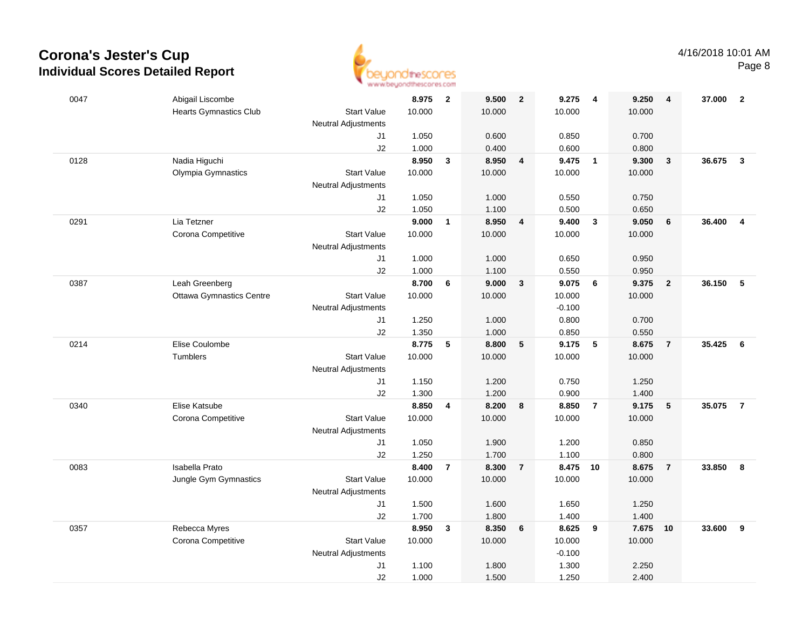

| 0047 | Abigail Liscombe                |                            | 8.975  | $\overline{\mathbf{2}}$ | 9.500  | $\overline{\mathbf{2}}$ | 9.275    | $\overline{\mathbf{4}}$ | 9.250  | $\overline{4}$ | 37.000 | $\overline{2}$          |
|------|---------------------------------|----------------------------|--------|-------------------------|--------|-------------------------|----------|-------------------------|--------|----------------|--------|-------------------------|
|      | <b>Hearts Gymnastics Club</b>   | <b>Start Value</b>         | 10.000 |                         | 10.000 |                         | 10.000   |                         | 10.000 |                |        |                         |
|      |                                 | <b>Neutral Adjustments</b> |        |                         |        |                         |          |                         |        |                |        |                         |
|      |                                 | J1                         | 1.050  |                         | 0.600  |                         | 0.850    |                         | 0.700  |                |        |                         |
|      |                                 | J2                         | 1.000  |                         | 0.400  |                         | 0.600    |                         | 0.800  |                |        |                         |
| 0128 | Nadia Higuchi                   |                            | 8.950  | $\overline{\mathbf{3}}$ | 8.950  | $\overline{4}$          | 9.475    | $\overline{1}$          | 9.300  | $\mathbf{3}$   | 36.675 | $\mathbf{3}$            |
|      | Olympia Gymnastics              | <b>Start Value</b>         | 10.000 |                         | 10.000 |                         | 10.000   |                         | 10.000 |                |        |                         |
|      |                                 | <b>Neutral Adjustments</b> |        |                         |        |                         |          |                         |        |                |        |                         |
|      |                                 | J1                         | 1.050  |                         | 1.000  |                         | 0.550    |                         | 0.750  |                |        |                         |
|      |                                 | J2                         | 1.050  |                         | 1.100  |                         | 0.500    |                         | 0.650  |                |        |                         |
| 0291 | Lia Tetzner                     |                            | 9.000  | $\mathbf{1}$            | 8.950  | 4                       | 9.400    | $\mathbf{3}$            | 9.050  | 6              | 36.400 | $\overline{\mathbf{4}}$ |
|      | Corona Competitive              | <b>Start Value</b>         | 10.000 |                         | 10.000 |                         | 10.000   |                         | 10.000 |                |        |                         |
|      |                                 | <b>Neutral Adjustments</b> |        |                         |        |                         |          |                         |        |                |        |                         |
|      |                                 | J1                         | 1.000  |                         | 1.000  |                         | 0.650    |                         | 0.950  |                |        |                         |
|      |                                 | J2                         | 1.000  |                         | 1.100  |                         | 0.550    |                         | 0.950  |                |        |                         |
| 0387 | Leah Greenberg                  |                            | 8.700  | 6                       | 9.000  | $\mathbf{3}$            | 9.075    | 6                       | 9.375  | $\overline{2}$ | 36.150 | 5                       |
|      | <b>Ottawa Gymnastics Centre</b> | <b>Start Value</b>         | 10.000 |                         | 10.000 |                         | 10.000   |                         | 10.000 |                |        |                         |
|      |                                 | <b>Neutral Adjustments</b> |        |                         |        |                         | $-0.100$ |                         |        |                |        |                         |
|      |                                 | J1                         | 1.250  |                         | 1.000  |                         | 0.800    |                         | 0.700  |                |        |                         |
|      |                                 | J2                         | 1.350  |                         | 1.000  |                         | 0.850    |                         | 0.550  |                |        |                         |
| 0214 | Elise Coulombe                  |                            | 8.775  | 5                       | 8.800  | 5                       | 9.175    | $\sqrt{5}$              | 8.675  | $\overline{7}$ | 35.425 | - 6                     |
|      | Tumblers                        | <b>Start Value</b>         | 10.000 |                         | 10.000 |                         | 10.000   |                         | 10.000 |                |        |                         |
|      |                                 | <b>Neutral Adjustments</b> |        |                         |        |                         |          |                         |        |                |        |                         |
|      |                                 | J1                         | 1.150  |                         | 1.200  |                         | 0.750    |                         | 1.250  |                |        |                         |
|      |                                 | J2                         | 1.300  |                         | 1.200  |                         | 0.900    |                         | 1.400  |                |        |                         |
| 0340 | Elise Katsube                   |                            | 8.850  | 4                       | 8.200  | 8                       | 8.850    | $\overline{7}$          | 9.175  | 5              | 35.075 | $\overline{7}$          |
|      | Corona Competitive              | <b>Start Value</b>         | 10.000 |                         | 10.000 |                         | 10.000   |                         | 10.000 |                |        |                         |
|      |                                 | Neutral Adjustments        |        |                         |        |                         |          |                         |        |                |        |                         |
|      |                                 | J1                         | 1.050  |                         | 1.900  |                         | 1.200    |                         | 0.850  |                |        |                         |
|      |                                 | J2                         | 1.250  |                         | 1.700  |                         | 1.100    |                         | 0.800  |                |        |                         |
| 0083 | <b>Isabella Prato</b>           |                            | 8.400  | $\overline{7}$          | 8.300  | $\overline{7}$          | 8.475 10 |                         | 8.675  | $\overline{7}$ | 33.850 | 8                       |
|      | Jungle Gym Gymnastics           | <b>Start Value</b>         | 10.000 |                         | 10.000 |                         | 10.000   |                         | 10.000 |                |        |                         |
|      |                                 | <b>Neutral Adjustments</b> |        |                         |        |                         |          |                         |        |                |        |                         |
|      |                                 | J1                         | 1.500  |                         | 1.600  |                         | 1.650    |                         | 1.250  |                |        |                         |
|      |                                 | J2                         | 1.700  |                         | 1.800  |                         | 1.400    |                         | 1.400  |                |        |                         |
| 0357 | Rebecca Myres                   |                            | 8.950  | $\mathbf{3}$            | 8.350  | $6\phantom{1}$          | 8.625    | 9                       | 7.675  | 10             | 33.600 | 9                       |
|      | Corona Competitive              | <b>Start Value</b>         | 10.000 |                         | 10.000 |                         | 10.000   |                         | 10.000 |                |        |                         |
|      |                                 | Neutral Adjustments        |        |                         |        |                         | $-0.100$ |                         |        |                |        |                         |
|      |                                 | J1                         | 1.100  |                         | 1.800  |                         | 1.300    |                         | 2.250  |                |        |                         |
|      |                                 | J2                         | 1.000  |                         | 1.500  |                         | 1.250    |                         | 2.400  |                |        |                         |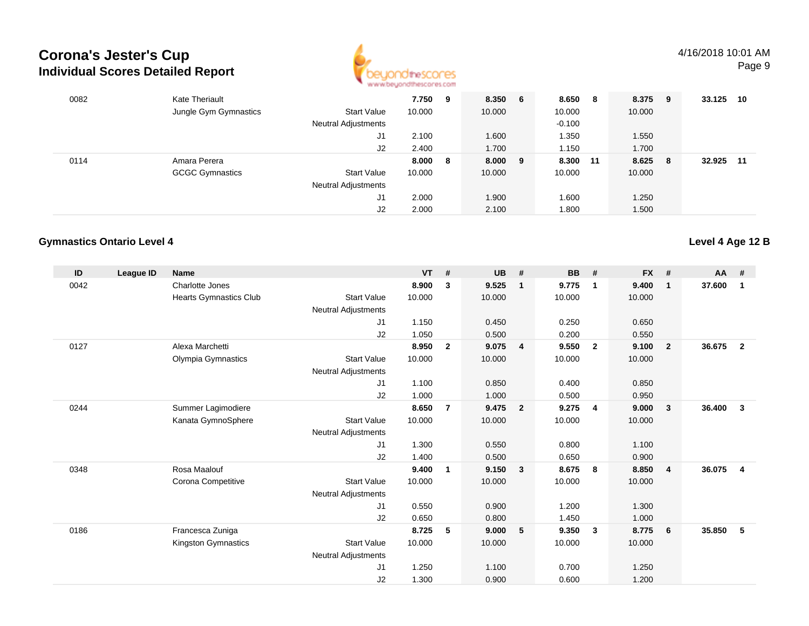

| 0082 | <b>Kate Theriault</b>  |                            | 7.750  | 9  | 8.350 6   | 8.650    | -8 | 8.375 9 |     | 33.125 | -10 |
|------|------------------------|----------------------------|--------|----|-----------|----------|----|---------|-----|--------|-----|
|      | Jungle Gym Gymnastics  | <b>Start Value</b>         | 10.000 |    | 10.000    | 10.000   |    | 10.000  |     |        |     |
|      |                        | Neutral Adjustments        |        |    |           | $-0.100$ |    |         |     |        |     |
|      |                        | J1                         | 2.100  |    | 1.600     | 1.350    |    | 1.550   |     |        |     |
|      |                        | J2                         | 2.400  |    | 1.700     | 1.150    |    | 1.700   |     |        |     |
| 0114 | Amara Perera           |                            | 8.000  | -8 | $8.000$ 9 | 8.300 11 |    | 8.625   | - 8 | 32.925 | 11  |
|      | <b>GCGC Gymnastics</b> | <b>Start Value</b>         | 10.000 |    | 10.000    | 10.000   |    | 10.000  |     |        |     |
|      |                        | <b>Neutral Adjustments</b> |        |    |           |          |    |         |     |        |     |
|      |                        | J1                         | 2.000  |    | 1.900     | 1.600    |    | 1.250   |     |        |     |
|      |                        | J2                         | 2.000  |    | 2.100     | 1.800    |    | 1.500   |     |        |     |

### **Gymnastics Ontario Level 4**

| ID   | <b>League ID</b> | <b>Name</b>            |                            | <b>VT</b> | #              | <b>UB</b> | #                       | <b>BB</b> | #                       | <b>FX</b> | #                       | <b>AA</b> | #              |
|------|------------------|------------------------|----------------------------|-----------|----------------|-----------|-------------------------|-----------|-------------------------|-----------|-------------------------|-----------|----------------|
| 0042 |                  | Charlotte Jones        |                            | 8.900     | 3              | 9.525     | $\mathbf{1}$            | 9.775     | $\overline{\mathbf{1}}$ | 9.400     | $\mathbf{1}$            | 37.600    | $\mathbf{1}$   |
|      |                  | Hearts Gymnastics Club | <b>Start Value</b>         | 10.000    |                | 10.000    |                         | 10.000    |                         | 10.000    |                         |           |                |
|      |                  |                        | Neutral Adjustments        |           |                |           |                         |           |                         |           |                         |           |                |
|      |                  |                        | J1                         | 1.150     |                | 0.450     |                         | 0.250     |                         | 0.650     |                         |           |                |
|      |                  |                        | J2                         | 1.050     |                | 0.500     |                         | 0.200     |                         | 0.550     |                         |           |                |
| 0127 |                  | Alexa Marchetti        |                            | 8.950     | $\mathbf{2}$   | 9.075     | $\overline{4}$          | 9.550     | $\overline{\mathbf{2}}$ | 9.100     | $\overline{\mathbf{2}}$ | 36.675    | $\overline{2}$ |
|      |                  | Olympia Gymnastics     | <b>Start Value</b>         | 10.000    |                | 10.000    |                         | 10.000    |                         | 10.000    |                         |           |                |
|      |                  |                        | <b>Neutral Adjustments</b> |           |                |           |                         |           |                         |           |                         |           |                |
|      |                  |                        | J1                         | 1.100     |                | 0.850     |                         | 0.400     |                         | 0.850     |                         |           |                |
|      |                  |                        | J2                         | 1.000     |                | 1.000     |                         | 0.500     |                         | 0.950     |                         |           |                |
| 0244 |                  | Summer Lagimodiere     |                            | 8.650     | $\overline{7}$ | 9.475     | $\overline{2}$          | 9.275     | $\overline{4}$          | 9.000     | $\mathbf{3}$            | 36.400    | $\mathbf{3}$   |
|      |                  | Kanata GymnoSphere     | <b>Start Value</b>         | 10.000    |                | 10.000    |                         | 10.000    |                         | 10.000    |                         |           |                |
|      |                  |                        | <b>Neutral Adjustments</b> |           |                |           |                         |           |                         |           |                         |           |                |
|      |                  |                        | J1                         | 1.300     |                | 0.550     |                         | 0.800     |                         | 1.100     |                         |           |                |
|      |                  |                        | J2                         | 1.400     |                | 0.500     |                         | 0.650     |                         | 0.900     |                         |           |                |
| 0348 |                  | Rosa Maalouf           |                            | 9.400     | 1              | 9.150     | $\overline{\mathbf{3}}$ | 8.675     | - 8                     | 8.850     | $\overline{4}$          | 36.075    | 4              |
|      |                  | Corona Competitive     | <b>Start Value</b>         | 10.000    |                | 10.000    |                         | 10.000    |                         | 10.000    |                         |           |                |
|      |                  |                        | <b>Neutral Adjustments</b> |           |                |           |                         |           |                         |           |                         |           |                |
|      |                  |                        | J1                         | 0.550     |                | 0.900     |                         | 1.200     |                         | 1.300     |                         |           |                |
|      |                  |                        | J2                         | 0.650     |                | 0.800     |                         | 1.450     |                         | 1.000     |                         |           |                |
| 0186 |                  | Francesca Zuniga       |                            | 8.725     | 5              | 9.000     | 5                       | 9.350     | $\mathbf{3}$            | 8.775     | 6                       | 35.850    | 5              |
|      |                  | Kingston Gymnastics    | <b>Start Value</b>         | 10.000    |                | 10.000    |                         | 10.000    |                         | 10.000    |                         |           |                |
|      |                  |                        | <b>Neutral Adjustments</b> |           |                |           |                         |           |                         |           |                         |           |                |
|      |                  |                        | J1                         | 1.250     |                | 1.100     |                         | 0.700     |                         | 1.250     |                         |           |                |
|      |                  |                        | J2                         | 1.300     |                | 0.900     |                         | 0.600     |                         | 1.200     |                         |           |                |

**Level 4 Age 12 B**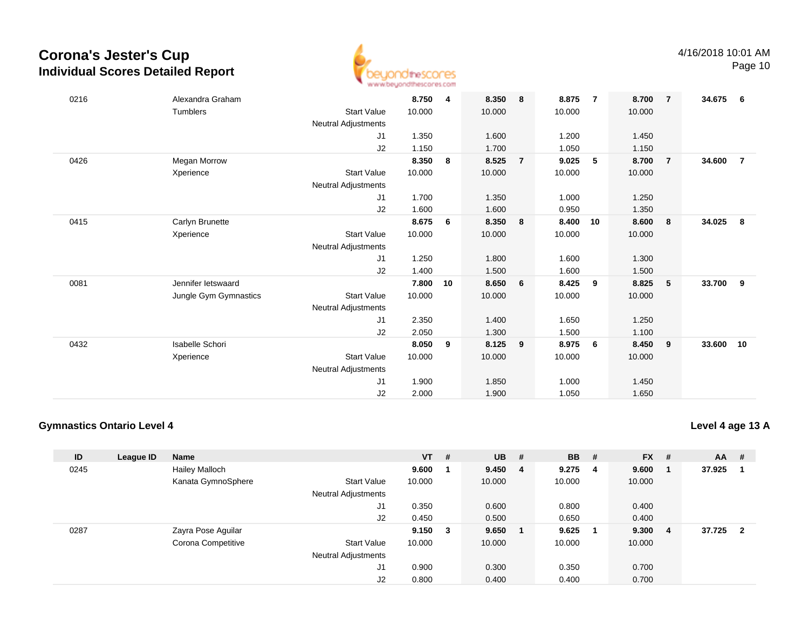

| 0216 | Alexandra Graham      |                            | 8.750  | 4  | 8.350  | 8              | 8.875  | $\overline{7}$ | 8.700  | $\overline{7}$ | 34.675 | - 6            |
|------|-----------------------|----------------------------|--------|----|--------|----------------|--------|----------------|--------|----------------|--------|----------------|
|      | Tumblers              | <b>Start Value</b>         | 10.000 |    | 10.000 |                | 10.000 |                | 10.000 |                |        |                |
|      |                       | <b>Neutral Adjustments</b> |        |    |        |                |        |                |        |                |        |                |
|      |                       | J1                         | 1.350  |    | 1.600  |                | 1.200  |                | 1.450  |                |        |                |
|      |                       | J2                         | 1.150  |    | 1.700  |                | 1.050  |                | 1.150  |                |        |                |
| 0426 | <b>Megan Morrow</b>   |                            | 8.350  | 8  | 8.525  | $\overline{7}$ | 9.025  | 5              | 8.700  | $\overline{7}$ | 34.600 | $\overline{7}$ |
|      | Xperience             | <b>Start Value</b>         | 10.000 |    | 10.000 |                | 10.000 |                | 10.000 |                |        |                |
|      |                       | <b>Neutral Adjustments</b> |        |    |        |                |        |                |        |                |        |                |
|      |                       | J1                         | 1.700  |    | 1.350  |                | 1.000  |                | 1.250  |                |        |                |
|      |                       | J2                         | 1.600  |    | 1.600  |                | 0.950  |                | 1.350  |                |        |                |
| 0415 | Carlyn Brunette       |                            | 8.675  | 6  | 8.350  | 8              | 8.400  | 10             | 8.600  | 8              | 34.025 | - 8            |
|      | Xperience             | <b>Start Value</b>         | 10.000 |    | 10.000 |                | 10.000 |                | 10.000 |                |        |                |
|      |                       | <b>Neutral Adjustments</b> |        |    |        |                |        |                |        |                |        |                |
|      |                       | J1                         | 1.250  |    | 1.800  |                | 1.600  |                | 1.300  |                |        |                |
|      |                       | J2                         | 1.400  |    | 1.500  |                | 1.600  |                | 1.500  |                |        |                |
| 0081 | Jennifer letswaard    |                            | 7.800  | 10 | 8.650  | 6              | 8.425  | 9              | 8.825  | 5              | 33.700 | 9              |
|      | Jungle Gym Gymnastics | <b>Start Value</b>         | 10.000 |    | 10.000 |                | 10.000 |                | 10.000 |                |        |                |
|      |                       | <b>Neutral Adjustments</b> |        |    |        |                |        |                |        |                |        |                |
|      |                       | J1                         | 2.350  |    | 1.400  |                | 1.650  |                | 1.250  |                |        |                |
|      |                       | J2                         | 2.050  |    | 1.300  |                | 1.500  |                | 1.100  |                |        |                |
| 0432 | Isabelle Schori       |                            | 8.050  | 9  | 8.125  | 9              | 8.975  | 6              | 8.450  | 9              | 33.600 | 10             |
|      | Xperience             | <b>Start Value</b>         | 10.000 |    | 10.000 |                | 10.000 |                | 10.000 |                |        |                |
|      |                       | <b>Neutral Adjustments</b> |        |    |        |                |        |                |        |                |        |                |
|      |                       | J1                         | 1.900  |    | 1.850  |                | 1.000  |                | 1.450  |                |        |                |
|      |                       | J2                         | 2.000  |    | 1.900  |                | 1.050  |                | 1.650  |                |        |                |

### **Gymnastics Ontario Level 4**

**Level 4 age 13 A**

| ID   | League ID | <b>Name</b>           |                            | $VT$ # |        | <b>UB</b> | #   | <b>BB</b> | # | $FX$ # |                | <b>AA</b> | - #                     |
|------|-----------|-----------------------|----------------------------|--------|--------|-----------|-----|-----------|---|--------|----------------|-----------|-------------------------|
| 0245 |           | <b>Hailey Malloch</b> |                            | 9.600  |        | 9.450     | - 4 | 9.275     | 4 | 9.600  |                | 37.925    |                         |
|      |           | Kanata GymnoSphere    | <b>Start Value</b>         | 10.000 |        | 10.000    |     | 10.000    |   | 10.000 |                |           |                         |
|      |           |                       | <b>Neutral Adjustments</b> |        |        |           |     |           |   |        |                |           |                         |
|      |           |                       | J1                         | 0.350  |        | 0.600     |     | 0.800     |   | 0.400  |                |           |                         |
|      |           |                       | J2                         | 0.450  |        | 0.500     |     | 0.650     |   | 0.400  |                |           |                         |
| 0287 |           | Zayra Pose Aguilar    |                            | 9.150  | $_{3}$ | 9.650     |     | 9.625     |   | 9.300  | $\overline{4}$ | 37.725    | $\overline{\mathbf{2}}$ |
|      |           | Corona Competitive    | <b>Start Value</b>         | 10.000 |        | 10.000    |     | 10.000    |   | 10.000 |                |           |                         |
|      |           |                       | <b>Neutral Adjustments</b> |        |        |           |     |           |   |        |                |           |                         |
|      |           |                       | J1                         | 0.900  |        | 0.300     |     | 0.350     |   | 0.700  |                |           |                         |
|      |           |                       | J2                         | 0.800  |        | 0.400     |     | 0.400     |   | 0.700  |                |           |                         |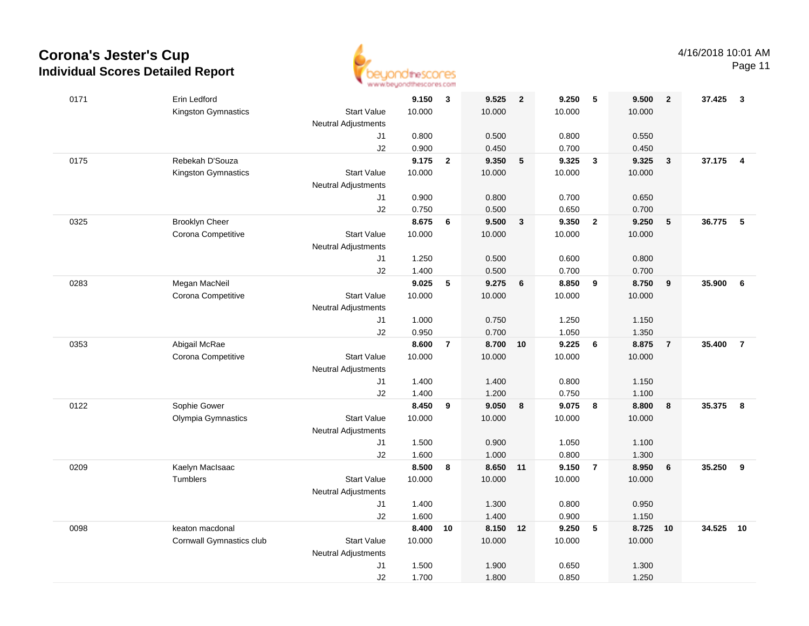

Page 11

| 0171 | Erin Ledford             |                            | 9.150  | 3              | 9.525    | $\overline{2}$ | 9.250  | 5              | 9.500  | $\overline{2}$ | 37.425 | $\mathbf{3}$   |
|------|--------------------------|----------------------------|--------|----------------|----------|----------------|--------|----------------|--------|----------------|--------|----------------|
|      | Kingston Gymnastics      | <b>Start Value</b>         | 10.000 |                | 10.000   |                | 10.000 |                | 10.000 |                |        |                |
|      |                          | <b>Neutral Adjustments</b> |        |                |          |                |        |                |        |                |        |                |
|      |                          | J1                         | 0.800  |                | 0.500    |                | 0.800  |                | 0.550  |                |        |                |
|      |                          | J2                         | 0.900  |                | 0.450    |                | 0.700  |                | 0.450  |                |        |                |
| 0175 | Rebekah D'Souza          |                            | 9.175  | $\overline{2}$ | 9.350    | 5              | 9.325  | $\mathbf{3}$   | 9.325  | $\mathbf{3}$   | 37.175 | $\overline{4}$ |
|      | Kingston Gymnastics      | <b>Start Value</b>         | 10.000 |                | 10.000   |                | 10.000 |                | 10.000 |                |        |                |
|      |                          | <b>Neutral Adjustments</b> |        |                |          |                |        |                |        |                |        |                |
|      |                          | J1                         | 0.900  |                | 0.800    |                | 0.700  |                | 0.650  |                |        |                |
|      |                          | J2                         | 0.750  |                | 0.500    |                | 0.650  |                | 0.700  |                |        |                |
| 0325 | <b>Brooklyn Cheer</b>    |                            | 8.675  | 6              | 9.500    | $\mathbf{3}$   | 9.350  | $\overline{2}$ | 9.250  | 5              | 36.775 | 5              |
|      | Corona Competitive       | <b>Start Value</b>         | 10.000 |                | 10.000   |                | 10.000 |                | 10.000 |                |        |                |
|      |                          | Neutral Adjustments        |        |                |          |                |        |                |        |                |        |                |
|      |                          | J1                         | 1.250  |                | 0.500    |                | 0.600  |                | 0.800  |                |        |                |
|      |                          | J2                         | 1.400  |                | 0.500    |                | 0.700  |                | 0.700  |                |        |                |
| 0283 | Megan MacNeil            |                            | 9.025  | 5              | 9.275    | $6\phantom{1}$ | 8.850  | 9              | 8.750  | 9              | 35.900 | 6              |
|      | Corona Competitive       | <b>Start Value</b>         | 10.000 |                | 10.000   |                | 10.000 |                | 10.000 |                |        |                |
|      |                          | Neutral Adjustments        |        |                |          |                |        |                |        |                |        |                |
|      |                          | J1                         | 1.000  |                | 0.750    |                | 1.250  |                | 1.150  |                |        |                |
|      |                          | J2                         | 0.950  |                | 0.700    |                | 1.050  |                | 1.350  |                |        |                |
| 0353 | Abigail McRae            |                            | 8.600  | $\overline{7}$ | 8.700    | 10             | 9.225  | 6              | 8.875  | $\overline{7}$ | 35.400 | $\overline{7}$ |
|      | Corona Competitive       | <b>Start Value</b>         | 10.000 |                | 10.000   |                | 10.000 |                | 10.000 |                |        |                |
|      |                          | Neutral Adjustments        |        |                |          |                |        |                |        |                |        |                |
|      |                          | J1                         | 1.400  |                | 1.400    |                | 0.800  |                | 1.150  |                |        |                |
|      |                          | J2                         | 1.400  |                | 1.200    |                | 0.750  |                | 1.100  |                |        |                |
| 0122 | Sophie Gower             |                            | 8.450  | 9              | 9.050    | 8              | 9.075  | 8              | 8.800  | 8              | 35.375 | 8              |
|      | Olympia Gymnastics       | <b>Start Value</b>         | 10.000 |                | 10.000   |                | 10.000 |                | 10.000 |                |        |                |
|      |                          | <b>Neutral Adjustments</b> |        |                |          |                |        |                |        |                |        |                |
|      |                          | J1                         | 1.500  |                | 0.900    |                | 1.050  |                | 1.100  |                |        |                |
|      |                          | J2                         | 1.600  |                | 1.000    |                | 0.800  |                | 1.300  |                |        |                |
| 0209 | Kaelyn MacIsaac          |                            | 8.500  | 8              | 8.650 11 |                | 9.150  | $\overline{7}$ | 8.950  | 6              | 35.250 | 9              |
|      | Tumblers                 | <b>Start Value</b>         | 10.000 |                | 10.000   |                | 10.000 |                | 10.000 |                |        |                |
|      |                          | <b>Neutral Adjustments</b> |        |                |          |                |        |                |        |                |        |                |
|      |                          | J1                         | 1.400  |                | 1.300    |                | 0.800  |                | 0.950  |                |        |                |
|      |                          | J2                         | 1.600  |                | 1.400    |                | 0.900  |                | 1.150  |                |        |                |
| 0098 | keaton macdonal          |                            | 8.400  | 10             | 8.150    | 12             | 9.250  | 5              | 8.725  | 10             | 34.525 | 10             |
|      | Cornwall Gymnastics club | <b>Start Value</b>         | 10.000 |                | 10.000   |                | 10.000 |                | 10.000 |                |        |                |
|      |                          | <b>Neutral Adjustments</b> |        |                |          |                |        |                |        |                |        |                |
|      |                          | J1                         | 1.500  |                | 1.900    |                | 0.650  |                | 1.300  |                |        |                |
|      |                          | J2                         | 1.700  |                | 1.800    |                | 0.850  |                | 1.250  |                |        |                |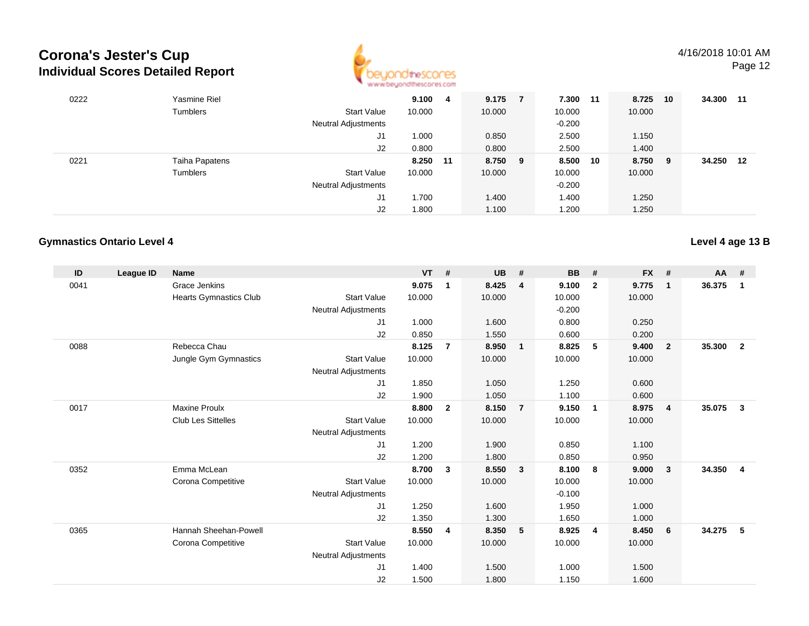

## 4/16/2018 10:01 AM

Page 12

| 0222 | Yasmine Riel   |                            | 9.100  | 4  | 9.175   | 7.300 11 | 8.725   | 10 | 34.300 11 |  |
|------|----------------|----------------------------|--------|----|---------|----------|---------|----|-----------|--|
|      | Tumblers       | <b>Start Value</b>         | 10.000 |    | 10.000  | 10.000   | 10.000  |    |           |  |
|      |                | <b>Neutral Adjustments</b> |        |    |         | $-0.200$ |         |    |           |  |
|      |                | J1                         | 1.000  |    | 0.850   | 2.500    | 1.150   |    |           |  |
|      |                | J2                         | 0.800  |    | 0.800   | 2.500    | 1.400   |    |           |  |
| 0221 | Taiha Papatens |                            | 8.250  | 11 | 8.750 9 | 8.500 10 | 8.750 9 |    | 34.250 12 |  |
|      | Tumblers       | <b>Start Value</b>         | 10.000 |    | 10.000  | 10.000   | 10.000  |    |           |  |
|      |                | <b>Neutral Adjustments</b> |        |    |         | $-0.200$ |         |    |           |  |
|      |                | J1                         | 1.700  |    | 1.400   | 1.400    | 1.250   |    |           |  |
|      |                | J2                         | 1.800  |    | 1.100   | 1.200    | 1.250   |    |           |  |

### **Gymnastics Ontario Level 4**

| ID   | League ID | <b>Name</b>               |                            | <b>VT</b> | #              | <b>UB</b> | #                       | <b>BB</b> | #              | <b>FX</b> | #                       | <b>AA</b> | #              |
|------|-----------|---------------------------|----------------------------|-----------|----------------|-----------|-------------------------|-----------|----------------|-----------|-------------------------|-----------|----------------|
| 0041 |           | <b>Grace Jenkins</b>      |                            | 9.075     | -1             | 8.425     | $\overline{4}$          | 9.100     | $\mathbf{2}$   | 9.775     | $\mathbf 1$             | 36.375    | 1              |
|      |           | Hearts Gymnastics Club    | <b>Start Value</b>         | 10.000    |                | 10.000    |                         | 10.000    |                | 10.000    |                         |           |                |
|      |           |                           | <b>Neutral Adjustments</b> |           |                |           |                         | $-0.200$  |                |           |                         |           |                |
|      |           |                           | J1                         | 1.000     |                | 1.600     |                         | 0.800     |                | 0.250     |                         |           |                |
|      |           |                           | J2                         | 0.850     |                | 1.550     |                         | 0.600     |                | 0.200     |                         |           |                |
| 0088 |           | Rebecca Chau              |                            | 8.125     | $\overline{7}$ | 8.950     | $\overline{1}$          | 8.825     | 5              | 9.400     | $\overline{2}$          | 35.300    | $\overline{2}$ |
|      |           | Jungle Gym Gymnastics     | <b>Start Value</b>         | 10.000    |                | 10.000    |                         | 10.000    |                | 10.000    |                         |           |                |
|      |           |                           | Neutral Adjustments        |           |                |           |                         |           |                |           |                         |           |                |
|      |           |                           | J <sub>1</sub>             | 1.850     |                | 1.050     |                         | 1.250     |                | 0.600     |                         |           |                |
|      |           |                           | J <sub>2</sub>             | 1.900     |                | 1.050     |                         | 1.100     |                | 0.600     |                         |           |                |
| 0017 |           | <b>Maxine Proulx</b>      |                            | 8.800     | $\mathbf{2}$   | 8.150     | $\overline{7}$          | 9.150     | $\overline{1}$ | 8.975     | $\overline{4}$          | 35.075    | $\mathbf{3}$   |
|      |           | <b>Club Les Sittelles</b> | <b>Start Value</b>         | 10.000    |                | 10.000    |                         | 10.000    |                | 10.000    |                         |           |                |
|      |           |                           | <b>Neutral Adjustments</b> |           |                |           |                         |           |                |           |                         |           |                |
|      |           |                           | J <sub>1</sub>             | 1.200     |                | 1.900     |                         | 0.850     |                | 1.100     |                         |           |                |
|      |           |                           | J <sub>2</sub>             | 1.200     |                | 1.800     |                         | 0.850     |                | 0.950     |                         |           |                |
| 0352 |           | Emma McLean               |                            | 8.700     | 3              | 8.550     | $\overline{\mathbf{3}}$ | 8.100     | 8              | 9.000     | $\overline{\mathbf{3}}$ | 34.350    | $\overline{4}$ |
|      |           | Corona Competitive        | <b>Start Value</b>         | 10.000    |                | 10.000    |                         | 10.000    |                | 10.000    |                         |           |                |
|      |           |                           | <b>Neutral Adjustments</b> |           |                |           |                         | $-0.100$  |                |           |                         |           |                |
|      |           |                           | J <sub>1</sub>             | 1.250     |                | 1.600     |                         | 1.950     |                | 1.000     |                         |           |                |
|      |           |                           | J2                         | 1.350     |                | 1.300     |                         | 1.650     |                | 1.000     |                         |           |                |
| 0365 |           | Hannah Sheehan-Powell     |                            | 8.550     | 4              | 8.350     | 5                       | 8.925     | $\overline{4}$ | 8.450     | - 6                     | 34.275    | - 5            |
|      |           | Corona Competitive        | <b>Start Value</b>         | 10.000    |                | 10.000    |                         | 10.000    |                | 10.000    |                         |           |                |
|      |           |                           | <b>Neutral Adjustments</b> |           |                |           |                         |           |                |           |                         |           |                |
|      |           |                           | J <sub>1</sub>             | 1.400     |                | 1.500     |                         | 1.000     |                | 1.500     |                         |           |                |
|      |           |                           | J <sub>2</sub>             | 1.500     |                | 1.800     |                         | 1.150     |                | 1.600     |                         |           |                |

**Level 4 age 13 B**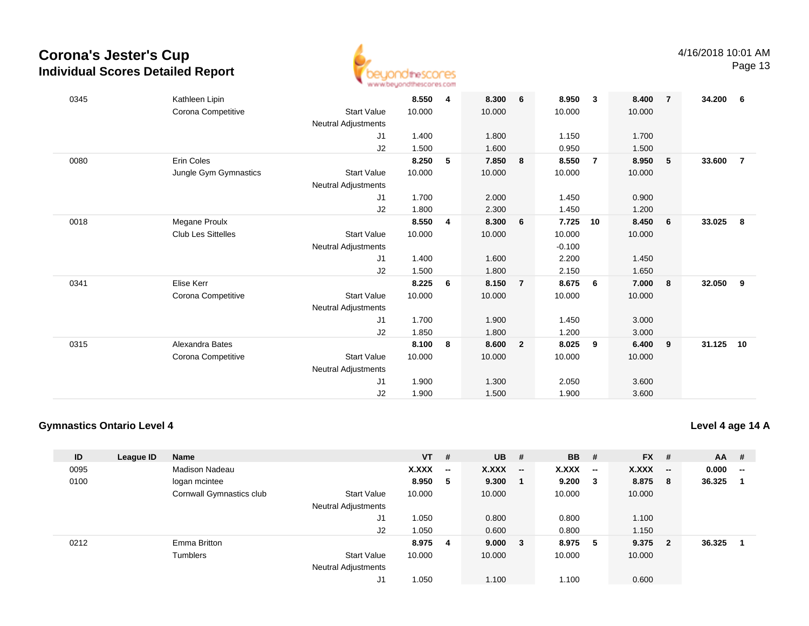

| 0345 | Kathleen Lipin            |                     | 8.550  | 4 | 8.300  | 6              | 8.950    | $\mathbf{3}$   | 8.400  | $\overline{7}$ | 34.200    | - 6            |
|------|---------------------------|---------------------|--------|---|--------|----------------|----------|----------------|--------|----------------|-----------|----------------|
|      | Corona Competitive        | <b>Start Value</b>  | 10.000 |   | 10.000 |                | 10.000   |                | 10.000 |                |           |                |
|      |                           | Neutral Adjustments |        |   |        |                |          |                |        |                |           |                |
|      |                           | J1                  | 1.400  |   | 1.800  |                | 1.150    |                | 1.700  |                |           |                |
|      |                           | J2                  | 1.500  |   | 1.600  |                | 0.950    |                | 1.500  |                |           |                |
| 0080 | Erin Coles                |                     | 8.250  | 5 | 7.850  | 8              | 8.550    | $\overline{7}$ | 8.950  | 5              | 33.600    | $\overline{7}$ |
|      | Jungle Gym Gymnastics     | <b>Start Value</b>  | 10.000 |   | 10.000 |                | 10.000   |                | 10.000 |                |           |                |
|      |                           | Neutral Adjustments |        |   |        |                |          |                |        |                |           |                |
|      |                           | J1                  | 1.700  |   | 2.000  |                | 1.450    |                | 0.900  |                |           |                |
|      |                           | J2                  | 1.800  |   | 2.300  |                | 1.450    |                | 1.200  |                |           |                |
| 0018 | Megane Proulx             |                     | 8.550  | 4 | 8.300  | 6              | 7.725    | 10             | 8.450  | 6              | 33.025    | - 8            |
|      | <b>Club Les Sittelles</b> | <b>Start Value</b>  | 10.000 |   | 10.000 |                | 10.000   |                | 10.000 |                |           |                |
|      |                           | Neutral Adjustments |        |   |        |                | $-0.100$ |                |        |                |           |                |
|      |                           | J1                  | 1.400  |   | 1.600  |                | 2.200    |                | 1.450  |                |           |                |
|      |                           | J2                  | 1.500  |   | 1.800  |                | 2.150    |                | 1.650  |                |           |                |
| 0341 | Elise Kerr                |                     | 8.225  | 6 | 8.150  | $\overline{7}$ | 8.675    | 6              | 7.000  | 8              | 32.050    | - 9            |
|      | Corona Competitive        | <b>Start Value</b>  | 10.000 |   | 10.000 |                | 10.000   |                | 10.000 |                |           |                |
|      |                           | Neutral Adjustments |        |   |        |                |          |                |        |                |           |                |
|      |                           | J1                  | 1.700  |   | 1.900  |                | 1.450    |                | 3.000  |                |           |                |
|      |                           | J2                  | 1.850  |   | 1.800  |                | 1.200    |                | 3.000  |                |           |                |
| 0315 | Alexandra Bates           |                     | 8.100  | 8 | 8.600  | $\overline{2}$ | 8.025    | 9              | 6.400  | 9              | 31.125 10 |                |
|      | Corona Competitive        | <b>Start Value</b>  | 10.000 |   | 10.000 |                | 10.000   |                | 10.000 |                |           |                |
|      |                           | Neutral Adjustments |        |   |        |                |          |                |        |                |           |                |
|      |                           | J1                  | 1.900  |   | 1.300  |                | 2.050    |                | 3.600  |                |           |                |
|      |                           | J2                  | 1.900  |   | 1.500  |                | 1.900    |                | 3.600  |                |           |                |
|      |                           |                     |        |   |        |                |          |                |        |                |           |                |

### **Gymnastics Ontario Level 4**

|                    | VT .   | #                        | UB.    | #                        | <b>BB</b> # |                          | FX #   |                          | AA.    | -#                       |
|--------------------|--------|--------------------------|--------|--------------------------|-------------|--------------------------|--------|--------------------------|--------|--------------------------|
|                    | X.XXX  | $\overline{\phantom{a}}$ | X.XXX  | $\overline{\phantom{a}}$ | X.XXX       | $\overline{\phantom{a}}$ | X.XXX  | $\overline{\phantom{a}}$ | 0.000  | $\overline{\phantom{a}}$ |
|                    | 8.950  | 5                        | 9.300  | -1                       | 9.200       | - 3                      | 8.875  | -8                       | 36.325 | $\overline{\mathbf{1}}$  |
| <b>Start Value</b> | 10.000 |                          | 10.000 |                          | 10.000      |                          | 10.000 |                          |        |                          |
| al Adjustments     |        |                          |        |                          |             |                          |        |                          |        |                          |
| ا ا.               | 1.050  |                          | 0.800  |                          | 0.800       |                          | 1.100  |                          |        |                          |

## **Level 4 age 14 A**

| ID   | League ID | <b>Name</b>              |                            | <b>VT</b> | - #                      | <b>UB</b> | #                        | <b>BB</b> | #                        | <b>FX</b> | #                        | <b>AA</b> | #                                                 |
|------|-----------|--------------------------|----------------------------|-----------|--------------------------|-----------|--------------------------|-----------|--------------------------|-----------|--------------------------|-----------|---------------------------------------------------|
| 0095 |           | Madison Nadeau           |                            | X.XXX     | $\overline{\phantom{a}}$ | X.XXX     | $\overline{\phantom{a}}$ | X.XXX     | $\overline{\phantom{a}}$ | X.XXX     | $\overline{\phantom{a}}$ | 0.000     | $\hspace{0.05cm}-\hspace{0.05cm}-\hspace{0.05cm}$ |
| 0100 |           | logan mcintee            |                            | 8.950     | - 5                      | 9.300     | - 1                      | 9.200     | 3                        | 8.875     | -8                       | 36.325    |                                                   |
|      |           | Cornwall Gymnastics club | <b>Start Value</b>         | 10.000    |                          | 10.000    |                          | 10.000    |                          | 10.000    |                          |           |                                                   |
|      |           |                          | <b>Neutral Adjustments</b> |           |                          |           |                          |           |                          |           |                          |           |                                                   |
|      |           |                          | J1                         | 1.050     |                          | 0.800     |                          | 0.800     |                          | 1.100     |                          |           |                                                   |
|      |           |                          | J2                         | 1.050     |                          | 0.600     |                          | 0.800     |                          | 1.150     |                          |           |                                                   |
| 0212 |           | Emma Britton             |                            | 8.975     | -4                       | 9.000     | - 3                      | 8.975     | 5                        | 9.375     | $\mathbf{2}$             | 36.325    |                                                   |
|      |           | Tumblers                 | <b>Start Value</b>         | 10.000    |                          | 10.000    |                          | 10.000    |                          | 10.000    |                          |           |                                                   |
|      |           |                          | <b>Neutral Adjustments</b> |           |                          |           |                          |           |                          |           |                          |           |                                                   |
|      |           |                          | J1                         | 1.050     |                          | 1.100     |                          | 1.100     |                          | 0.600     |                          |           |                                                   |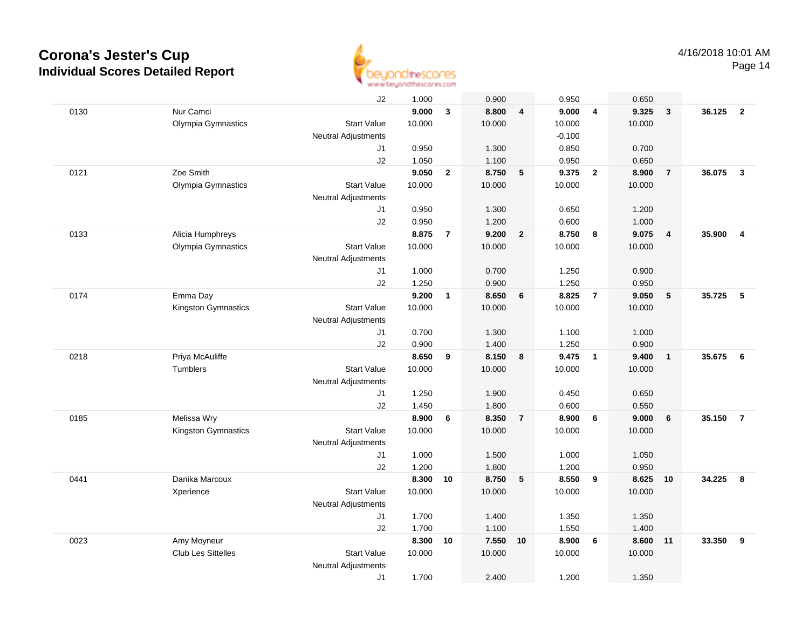

|      |                           | J2                         | 1.000  |                         | 0.900  |                         | 0.950    |                         | 0.650  |                         |        |                         |
|------|---------------------------|----------------------------|--------|-------------------------|--------|-------------------------|----------|-------------------------|--------|-------------------------|--------|-------------------------|
| 0130 | Nur Camci                 |                            | 9.000  | $\overline{\mathbf{3}}$ | 8.800  | $\overline{4}$          | 9.000    | $\overline{4}$          | 9.325  | 3                       | 36.125 | $\overline{\mathbf{2}}$ |
|      | Olympia Gymnastics        | <b>Start Value</b>         | 10.000 |                         | 10.000 |                         | 10.000   |                         | 10.000 |                         |        |                         |
|      |                           | <b>Neutral Adjustments</b> |        |                         |        |                         | $-0.100$ |                         |        |                         |        |                         |
|      |                           | J1                         | 0.950  |                         | 1.300  |                         | 0.850    |                         | 0.700  |                         |        |                         |
|      |                           | J2                         | 1.050  |                         | 1.100  |                         | 0.950    |                         | 0.650  |                         |        |                         |
| 0121 | Zoe Smith                 |                            | 9.050  | $\overline{2}$          | 8.750  | 5                       | 9.375    | $\overline{2}$          | 8.900  | $\overline{7}$          | 36.075 | $\mathbf{3}$            |
|      | Olympia Gymnastics        | <b>Start Value</b>         | 10.000 |                         | 10.000 |                         | 10.000   |                         | 10.000 |                         |        |                         |
|      |                           | <b>Neutral Adjustments</b> |        |                         |        |                         |          |                         |        |                         |        |                         |
|      |                           | J1                         | 0.950  |                         | 1.300  |                         | 0.650    |                         | 1.200  |                         |        |                         |
|      |                           | J2                         | 0.950  |                         | 1.200  |                         | 0.600    |                         | 1.000  |                         |        |                         |
| 0133 | Alicia Humphreys          |                            | 8.875  | $\overline{7}$          | 9.200  | $\overline{\mathbf{2}}$ | 8.750    | 8                       | 9.075  | $\overline{\mathbf{4}}$ | 35.900 | $\overline{4}$          |
|      | Olympia Gymnastics        | <b>Start Value</b>         | 10.000 |                         | 10.000 |                         | 10.000   |                         | 10.000 |                         |        |                         |
|      |                           | <b>Neutral Adjustments</b> |        |                         |        |                         |          |                         |        |                         |        |                         |
|      |                           | J1                         | 1.000  |                         | 0.700  |                         | 1.250    |                         | 0.900  |                         |        |                         |
|      |                           | J2                         | 1.250  |                         | 0.900  |                         | 1.250    |                         | 0.950  |                         |        |                         |
| 0174 | Emma Day                  |                            | 9.200  | $\mathbf{1}$            | 8.650  | $6\phantom{1}$          | 8.825    | $\overline{7}$          | 9.050  | $\sqrt{5}$              | 35.725 | 5                       |
|      | Kingston Gymnastics       | <b>Start Value</b>         | 10.000 |                         | 10.000 |                         | 10.000   |                         | 10.000 |                         |        |                         |
|      |                           | Neutral Adjustments        |        |                         |        |                         |          |                         |        |                         |        |                         |
|      |                           | J1                         | 0.700  |                         | 1.300  |                         | 1.100    |                         | 1.000  |                         |        |                         |
|      |                           | J2                         | 0.900  |                         | 1.400  |                         | 1.250    |                         | 0.900  |                         |        |                         |
| 0218 | Priya McAuliffe           |                            | 8.650  | 9                       | 8.150  | 8                       | 9.475    | $\overline{1}$          | 9.400  | $\mathbf{1}$            | 35.675 | 6                       |
|      | Tumblers                  | <b>Start Value</b>         | 10.000 |                         | 10.000 |                         | 10.000   |                         | 10.000 |                         |        |                         |
|      |                           | <b>Neutral Adjustments</b> |        |                         |        |                         |          |                         |        |                         |        |                         |
|      |                           | J1                         | 1.250  |                         | 1.900  |                         | 0.450    |                         | 0.650  |                         |        |                         |
|      |                           | J2                         | 1.450  |                         | 1.800  |                         | 0.600    |                         | 0.550  |                         |        |                         |
| 0185 | Melissa Wry               |                            | 8.900  | 6                       | 8.350  | $\overline{7}$          | 8.900    | 6                       | 9.000  | 6                       | 35.150 | $\overline{7}$          |
|      | Kingston Gymnastics       | <b>Start Value</b>         | 10.000 |                         | 10.000 |                         | 10.000   |                         | 10.000 |                         |        |                         |
|      |                           | <b>Neutral Adjustments</b> |        |                         |        |                         |          |                         |        |                         |        |                         |
|      |                           | J1                         | 1.000  |                         | 1.500  |                         | 1.000    |                         | 1.050  |                         |        |                         |
|      |                           | J2                         | 1.200  |                         | 1.800  |                         | 1.200    |                         | 0.950  |                         |        |                         |
| 0441 | Danika Marcoux            |                            | 8.300  | 10                      | 8.750  | $5\phantom{1}$          | 8.550    | $\overline{\mathbf{9}}$ | 8.625  | 10                      | 34.225 | 8                       |
|      | Xperience                 | <b>Start Value</b>         | 10.000 |                         | 10.000 |                         | 10.000   |                         | 10.000 |                         |        |                         |
|      |                           | <b>Neutral Adjustments</b> |        |                         |        |                         |          |                         |        |                         |        |                         |
|      |                           | J1                         | 1.700  |                         | 1.400  |                         | 1.350    |                         | 1.350  |                         |        |                         |
|      |                           | J2                         | 1.700  |                         | 1.100  |                         | 1.550    |                         | 1.400  |                         |        |                         |
| 0023 | Amy Moyneur               |                            | 8.300  | 10                      | 7.550  | 10                      | 8.900    | 6                       | 8.600  | 11                      | 33.350 | 9                       |
|      | <b>Club Les Sittelles</b> | <b>Start Value</b>         | 10.000 |                         | 10.000 |                         | 10.000   |                         | 10.000 |                         |        |                         |
|      |                           | <b>Neutral Adjustments</b> |        |                         |        |                         |          |                         |        |                         |        |                         |
|      |                           | J1                         | 1.700  |                         | 2.400  |                         | 1.200    |                         | 1.350  |                         |        |                         |
|      |                           |                            |        |                         |        |                         |          |                         |        |                         |        |                         |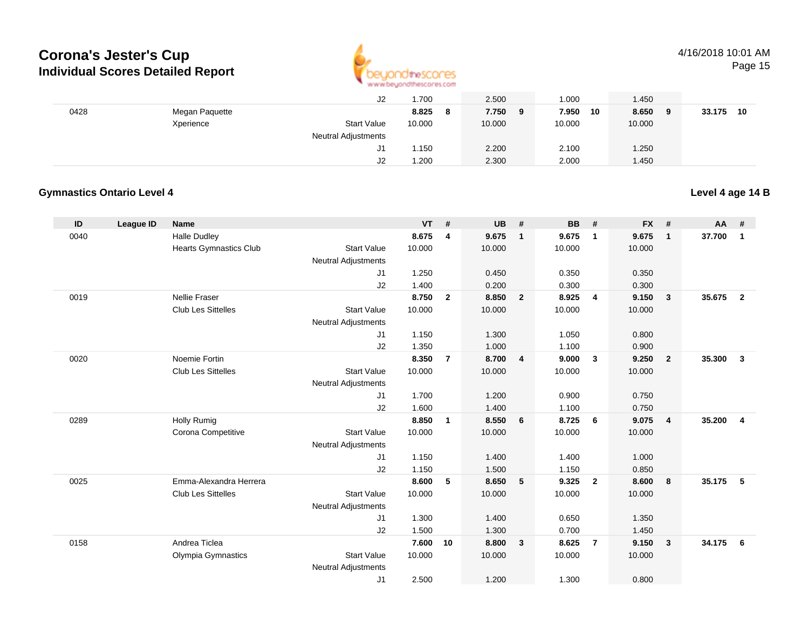

## 4/16/2018 10:01 AM

Page 15

|      |                | J2                         | .700         | 2.500      | 000.        | 1.450        |              |
|------|----------------|----------------------------|--------------|------------|-------------|--------------|--------------|
| 0428 | Megan Paquette |                            | 8.825<br>- 8 | 7.750<br>9 | 7.950<br>10 | 8.650<br>- 9 | 33.175<br>10 |
|      | Xperience      | <b>Start Value</b>         | 10.000       | 10.000     | 10.000      | 10.000       |              |
|      |                | <b>Neutral Adjustments</b> |              |            |             |              |              |
|      |                | J1                         | 1.150        | 2.200      | 2.100       | 1.250        |              |
|      |                | J2                         | 200. ا       | 2.300      | 2.000       | 1.450        |              |

### **Gymnastics Ontario Level 4**

**Level 4 age 14 B**

| ID   | League ID | <b>Name</b>                   |                            | <b>VT</b>      | #                       | <b>UB</b>      | #              | <b>BB</b>      | #              | <b>FX</b>      | #                       | AA     | #                       |
|------|-----------|-------------------------------|----------------------------|----------------|-------------------------|----------------|----------------|----------------|----------------|----------------|-------------------------|--------|-------------------------|
| 0040 |           | <b>Halle Dudley</b>           |                            | 8.675          | $\overline{\mathbf{4}}$ | 9.675          | $\overline{1}$ | 9.675          | $\overline{1}$ | 9.675          | $\overline{\mathbf{1}}$ | 37.700 | $\mathbf{1}$            |
|      |           | <b>Hearts Gymnastics Club</b> | <b>Start Value</b>         | 10.000         |                         | 10.000         |                | 10.000         |                | 10.000         |                         |        |                         |
|      |           |                               | <b>Neutral Adjustments</b> |                |                         |                |                |                |                |                |                         |        |                         |
|      |           |                               | J1                         | 1.250          |                         | 0.450          |                | 0.350          |                | 0.350          |                         |        |                         |
|      |           |                               | J2                         | 1.400          |                         | 0.200          |                | 0.300          |                | 0.300          |                         |        |                         |
| 0019 |           | <b>Nellie Fraser</b>          |                            | 8.750          | $\overline{2}$          | 8.850          | $\overline{2}$ | 8.925          | $\overline{4}$ | 9.150          | $\mathbf{3}$            | 35.675 | $\overline{2}$          |
|      |           | <b>Club Les Sittelles</b>     | <b>Start Value</b>         | 10.000         |                         | 10.000         |                | 10.000         |                | 10.000         |                         |        |                         |
|      |           |                               | <b>Neutral Adjustments</b> |                |                         |                |                |                |                |                |                         |        |                         |
|      |           |                               | J1                         | 1.150          |                         | 1.300          |                | 1.050          |                | 0.800          |                         |        |                         |
|      |           |                               | J2                         | 1.350          |                         | 1.000          |                | 1.100          |                | 0.900          |                         |        |                         |
| 0020 |           | Noemie Fortin                 |                            | 8.350          | $\overline{7}$          | 8.700          | $\overline{4}$ | 9.000          | $\mathbf{3}$   | 9.250          | $\overline{2}$          | 35.300 | $\overline{\mathbf{3}}$ |
|      |           | <b>Club Les Sittelles</b>     | <b>Start Value</b>         | 10.000         |                         | 10.000         |                | 10.000         |                | 10.000         |                         |        |                         |
|      |           |                               | <b>Neutral Adjustments</b> |                |                         |                |                |                |                |                |                         |        |                         |
|      |           |                               | J1                         | 1.700          |                         | 1.200          |                | 0.900          |                | 0.750          |                         |        |                         |
|      |           |                               | J2                         | 1.600          |                         | 1.400          |                | 1.100          |                | 0.750          |                         |        |                         |
| 0289 |           | <b>Holly Rumig</b>            |                            | 8.850          | 1                       | 8.550          | 6              | 8.725          | 6              | 9.075          | $\overline{4}$          | 35.200 | $\overline{4}$          |
|      |           | Corona Competitive            | <b>Start Value</b>         | 10.000         |                         | 10.000         |                | 10.000         |                | 10.000         |                         |        |                         |
|      |           |                               | <b>Neutral Adjustments</b> |                |                         |                |                |                |                |                |                         |        |                         |
|      |           |                               | J1<br>J2                   | 1.150<br>1.150 |                         | 1.400<br>1.500 |                | 1.400<br>1.150 |                | 1.000<br>0.850 |                         |        |                         |
| 0025 |           | Emma-Alexandra Herrera        |                            | 8.600          | 5                       | 8.650          | 5              | 9.325          | $\overline{2}$ | 8.600          | - 8                     | 35.175 | - 5                     |
|      |           | <b>Club Les Sittelles</b>     | <b>Start Value</b>         | 10.000         |                         | 10.000         |                | 10.000         |                | 10.000         |                         |        |                         |
|      |           |                               | <b>Neutral Adjustments</b> |                |                         |                |                |                |                |                |                         |        |                         |
|      |           |                               | J1                         | 1.300          |                         | 1.400          |                | 0.650          |                | 1.350          |                         |        |                         |
|      |           |                               | J2                         | 1.500          |                         | 1.300          |                | 0.700          |                | 1.450          |                         |        |                         |
| 0158 |           | Andrea Ticlea                 |                            | 7.600          | 10                      | 8.800          | 3              | 8.625          | $\overline{7}$ | 9.150          | $\overline{\mathbf{3}}$ | 34.175 | - 6                     |
|      |           | Olympia Gymnastics            | <b>Start Value</b>         | 10.000         |                         | 10.000         |                | 10.000         |                | 10.000         |                         |        |                         |
|      |           |                               | <b>Neutral Adjustments</b> |                |                         |                |                |                |                |                |                         |        |                         |
|      |           |                               | J <sub>1</sub>             | 2.500          |                         | 1.200          |                | 1.300          |                | 0.800          |                         |        |                         |
|      |           |                               |                            |                |                         |                |                |                |                |                |                         |        |                         |